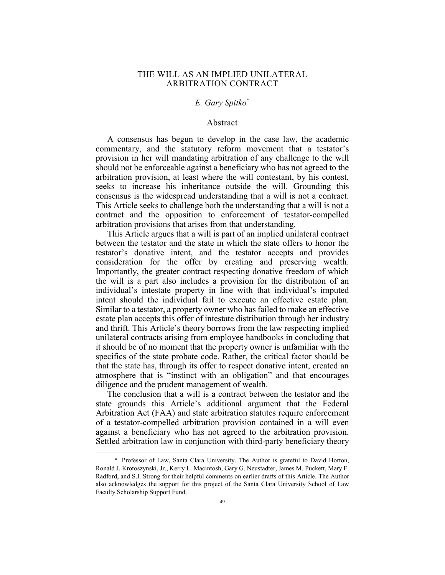## THE WILL AS AN IMPLIED UNILATERAL ARBITRATION CONTRACT

# *E. Gary Spitko*\*

#### Abstract

A consensus has begun to develop in the case law, the academic commentary, and the statutory reform movement that a testator's provision in her will mandating arbitration of any challenge to the will should not be enforceable against a beneficiary who has not agreed to the arbitration provision, at least where the will contestant, by his contest, seeks to increase his inheritance outside the will. Grounding this consensus is the widespread understanding that a will is not a contract. This Article seeks to challenge both the understanding that a will is not a contract and the opposition to enforcement of testator-compelled arbitration provisions that arises from that understanding.

This Article argues that a will is part of an implied unilateral contract between the testator and the state in which the state offers to honor the testator's donative intent, and the testator accepts and provides consideration for the offer by creating and preserving wealth. Importantly, the greater contract respecting donative freedom of which the will is a part also includes a provision for the distribution of an individual's intestate property in line with that individual's imputed intent should the individual fail to execute an effective estate plan. Similar to a testator, a property owner who has failed to make an effective estate plan accepts this offer of intestate distribution through her industry and thrift. This Article's theory borrows from the law respecting implied unilateral contracts arising from employee handbooks in concluding that it should be of no moment that the property owner is unfamiliar with the specifics of the state probate code. Rather, the critical factor should be that the state has, through its offer to respect donative intent, created an atmosphere that is "instinct with an obligation" and that encourages diligence and the prudent management of wealth.

The conclusion that a will is a contract between the testator and the state grounds this Article's additional argument that the Federal Arbitration Act (FAA) and state arbitration statutes require enforcement of a testator-compelled arbitration provision contained in a will even against a beneficiary who has not agreed to the arbitration provision. Settled arbitration law in conjunction with third-party beneficiary theory

 <sup>\*</sup> Professor of Law, Santa Clara University. The Author is grateful to David Horton, Ronald J. Krotoszynski, Jr., Kerry L. Macintosh, Gary G. Neustadter, James M. Puckett, Mary F. Radford, and S.I. Strong for their helpful comments on earlier drafts of this Article. The Author also acknowledges the support for this project of the Santa Clara University School of Law Faculty Scholarship Support Fund.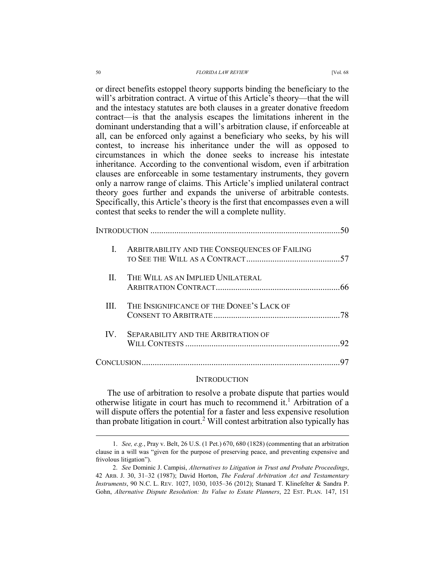or direct benefits estoppel theory supports binding the beneficiary to the will's arbitration contract. A virtue of this Article's theory—that the will and the intestacy statutes are both clauses in a greater donative freedom contract—is that the analysis escapes the limitations inherent in the dominant understanding that a will's arbitration clause, if enforceable at all, can be enforced only against a beneficiary who seeks, by his will contest, to increase his inheritance under the will as opposed to circumstances in which the donee seeks to increase his intestate inheritance. According to the conventional wisdom, even if arbitration clauses are enforceable in some testamentary instruments, they govern only a narrow range of claims. This Article's implied unilateral contract theory goes further and expands the universe of arbitrable contests. Specifically, this Article's theory is the first that encompasses even a will contest that seeks to render the will a complete nullity.

|          | ARBITRABILITY AND THE CONSEQUENCES OF FAILING |    |
|----------|-----------------------------------------------|----|
| $\Pi$    | THE WILL AS AN IMPLIED UNILATERAL             |    |
| Ш        | THE INSIGNIFICANCE OF THE DONEE'S LACK OF     |    |
| $IV_{-}$ | SEPARABILITY AND THE ARBITRATION OF           | 92 |
|          |                                               |    |

#### INTRODUCTION

The use of arbitration to resolve a probate dispute that parties would otherwise litigate in court has much to recommend it.<sup>1</sup> Arbitration of a will dispute offers the potential for a faster and less expensive resolution than probate litigation in court.<sup>2</sup> Will contest arbitration also typically has

 <sup>1.</sup> *See, e.g.*, Pray v. Belt, 26 U.S. (1 Pet.) 670, 680 (1828) (commenting that an arbitration clause in a will was "given for the purpose of preserving peace, and preventing expensive and frivolous litigation").

 <sup>2.</sup> *See* Dominic J. Campisi, *Alternatives to Litigation in Trust and Probate Proceedings*, 42 ARB. J. 30, 31–32 (1987); David Horton, *The Federal Arbitration Act and Testamentary Instruments*, 90 N.C. L. REV. 1027, 1030, 1035–36 (2012); Stanard T. Klinefelter & Sandra P. Gohn, *Alternative Dispute Resolution: Its Value to Estate Planners*, 22 EST. PLAN. 147, 151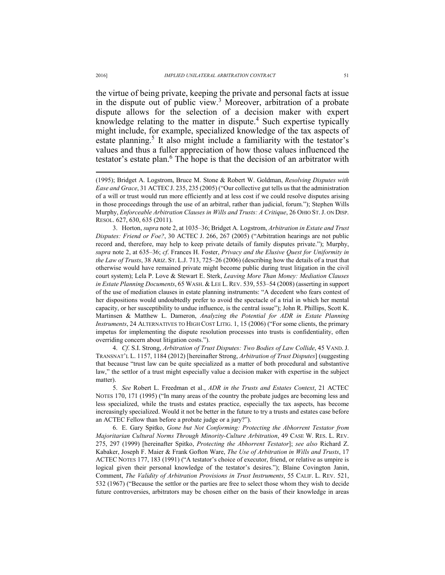the virtue of being private, keeping the private and personal facts at issue in the dispute out of public view.<sup>3</sup> Moreover, arbitration of a probate dispute allows for the selection of a decision maker with expert knowledge relating to the matter in dispute.<sup>4</sup> Such expertise typically might include, for example, specialized knowledge of the tax aspects of estate planning.<sup>5</sup> It also might include a familiarity with the testator's values and thus a fuller appreciation of how those values influenced the testator's estate plan.<sup>6</sup> The hope is that the decision of an arbitrator with

 3. Horton, *supra* note 2, at 1035–36; Bridget A. Logstrom, *Arbitration in Estate and Trust Disputes: Friend or Foe?*, 30 ACTEC J. 266, 267 (2005) ("Arbitration hearings are not public record and, therefore, may help to keep private details of family disputes private."); Murphy, *supra* note 2, at 635–36; *cf*. Frances H. Foster, *Privacy and the Elusive Quest for Uniformity in the Law of Trusts*, 38 ARIZ. ST. L.J. 713, 725–26 (2006) (describing how the details of a trust that otherwise would have remained private might become public during trust litigation in the civil court system); Lela P. Love & Stewart E. Sterk, *Leaving More Than Money: Mediation Clauses in Estate Planning Documents*, 65 WASH. & LEE L. REV. 539, 553–54 (2008) (asserting in support of the use of mediation clauses in estate planning instruments: "A decedent who fears contest of her dispositions would undoubtedly prefer to avoid the spectacle of a trial in which her mental capacity, or her susceptibility to undue influence, is the central issue"); John R. Phillips, Scott K. Martinsen & Matthew L. Dameron, *Analyzing the Potential for ADR in Estate Planning Instruments*, 24 ALTERNATIVES TO HIGH COST LITIG. 1, 15 (2006) ("For some clients, the primary impetus for implementing the dispute resolution processes into trusts is confidentiality, often overriding concern about litigation costs.").

 4. *Cf*. S.I. Strong, *Arbitration of Trust Disputes: Two Bodies of Law Collide*, 45 VAND. J. TRANSNAT'L L. 1157, 1184 (2012) [hereinafter Strong, *Arbitration of Trust Disputes*] (suggesting that because "trust law can be quite specialized as a matter of both procedural and substantive law," the settlor of a trust might especially value a decision maker with expertise in the subject matter).

 5. *See* Robert L. Freedman et al., *ADR in the Trusts and Estates Context*, 21 ACTEC NOTES 170, 171 (1995) ("In many areas of the country the probate judges are becoming less and less specialized, while the trusts and estates practice, especially the tax aspects, has become increasingly specialized. Would it not be better in the future to try a trusts and estates case before an ACTEC Fellow than before a probate judge or a jury?").

 6. E. Gary Spitko, *Gone but Not Conforming: Protecting the Abhorrent Testator from Majoritarian Cultural Norms Through Minority-Culture Arbitration*, 49 CASE W. RES. L. REV. 275, 297 (1999) [hereinafter Spitko, *Protecting the Abhorrent Testator*]; *see also* Richard Z. Kabaker, Joseph F. Maier & Frank Gofton Ware, *The Use of Arbitration in Wills and Trusts*, 17 ACTEC NOTES 177, 183 (1991) ("A testator's choice of executor, friend, or relative as umpire is logical given their personal knowledge of the testator's desires."); Blaine Covington Janin, Comment, *The Validity of Arbitration Provisions in Trust Instruments*, 55 CALIF. L. REV. 521, 532 (1967) ("Because the settlor or the parties are free to select those whom they wish to decide future controversies, arbitrators may be chosen either on the basis of their knowledge in areas

<sup>(1995);</sup> Bridget A. Logstrom, Bruce M. Stone & Robert W. Goldman, *Resolving Disputes with Ease and Grace*, 31 ACTECJ. 235, 235 (2005) ("Our collective gut tells us that the administration of a will or trust would run more efficiently and at less cost if we could resolve disputes arising in those proceedings through the use of an arbitral, rather than judicial, forum."); Stephen Wills Murphy, *Enforceable Arbitration Clauses in Wills and Trusts: A Critique*, 26 OHIO ST.J. ON DISP. RESOL. 627, 630, 635 (2011).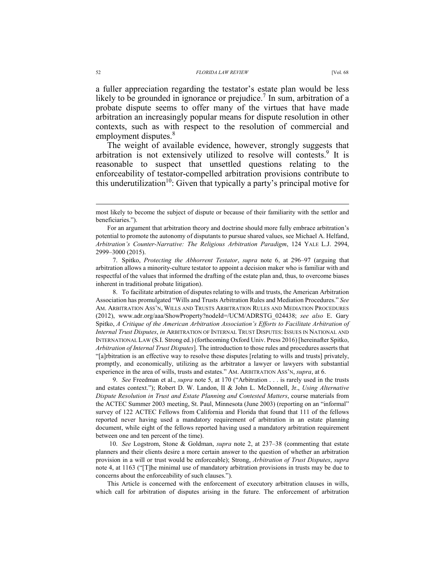a fuller appreciation regarding the testator's estate plan would be less likely to be grounded in ignorance or prejudice.<sup>7</sup> In sum, arbitration of a probate dispute seems to offer many of the virtues that have made arbitration an increasingly popular means for dispute resolution in other contexts, such as with respect to the resolution of commercial and employment disputes.<sup>8</sup>

The weight of available evidence, however, strongly suggests that arbitration is not extensively utilized to resolve will contests.<sup>9</sup> It is reasonable to suspect that unsettled questions relating to the enforceability of testator-compelled arbitration provisions contribute to this underutilization<sup>10</sup>: Given that typically a party's principal motive for

 7. Spitko, *Protecting the Abhorrent Testator*, *supra* note 6, at 296–97 (arguing that arbitration allows a minority-culture testator to appoint a decision maker who is familiar with and respectful of the values that informed the drafting of the estate plan and, thus, to overcome biases inherent in traditional probate litigation).

 8. To facilitate arbitration of disputes relating to wills and trusts, the American Arbitration Association has promulgated "Wills and Trusts Arbitration Rules and Mediation Procedures." *See* AM. ARBITRATION ASS'N, WILLS AND TRUSTS ARBITRATION RULES AND MEDIATION PROCEDURES (2012), www.adr.org/aaa/ShowProperty?nodeId=/UCM/ADRSTG\_024438; *see also* E. Gary Spitko, *A Critique of the American Arbitration Association's Efforts to Facilitate Arbitration of Internal Trust Disputes*, *in* ARBITRATION OF INTERNAL TRUST DISPUTES: ISSUES IN NATIONAL AND INTERNATIONAL LAW (S.I. Strong ed.) (forthcoming Oxford Univ. Press 2016) [hereinafter Spitko, *Arbitration of Internal Trust Disputes*]. The introduction to those rules and procedures asserts that "[a]rbitration is an effective way to resolve these disputes [relating to wills and trusts] privately, promptly, and economically, utilizing as the arbitrator a lawyer or lawyers with substantial experience in the area of wills, trusts and estates." AM. ARBITRATION ASS'N, *supra*, at 6.

 9. *See* Freedman et al., *supra* note 5, at 170 ("Arbitration . . . is rarely used in the trusts and estates context."); Robert D. W. Landon, II & John L. McDonnell, Jr., *Using Alternative Dispute Resolution in Trust and Estate Planning and Contested Matters*, course materials from the ACTEC Summer 2003 meeting, St. Paul, Minnesota (June 2003) (reporting on an "informal" survey of 122 ACTEC Fellows from California and Florida that found that 111 of the fellows reported never having used a mandatory requirement of arbitration in an estate planning document, while eight of the fellows reported having used a mandatory arbitration requirement between one and ten percent of the time).

 10. *See* Logstrom, Stone & Goldman, *supra* note 2, at 237–38 (commenting that estate planners and their clients desire a more certain answer to the question of whether an arbitration provision in a will or trust would be enforceable); Strong, *Arbitration of Trust Disputes*, *supra* note 4, at 1163 ("[T]he minimal use of mandatory arbitration provisions in trusts may be due to concerns about the enforceability of such clauses.").

This Article is concerned with the enforcement of executory arbitration clauses in wills, which call for arbitration of disputes arising in the future. The enforcement of arbitration

most likely to become the subject of dispute or because of their familiarity with the settlor and beneficiaries.").

For an argument that arbitration theory and doctrine should more fully embrace arbitration's potential to promote the autonomy of disputants to pursue shared values, see Michael A. Helfand, *Arbitration's Counter-Narrative: The Religious Arbitration Paradigm*, 124 YALE L.J. 2994, 2999–3000 (2015).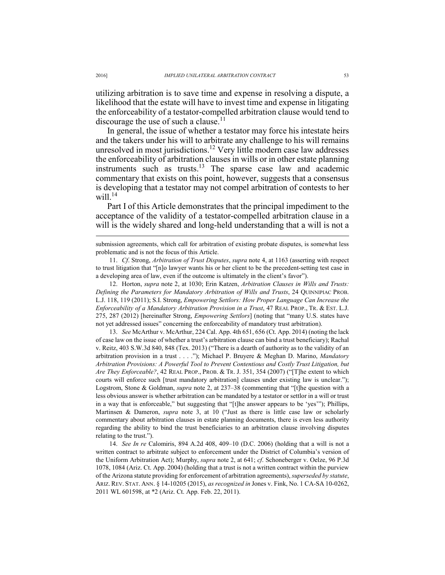utilizing arbitration is to save time and expense in resolving a dispute, a likelihood that the estate will have to invest time and expense in litigating the enforceability of a testator-compelled arbitration clause would tend to discourage the use of such a clause.<sup>11</sup>

In general, the issue of whether a testator may force his intestate heirs and the takers under his will to arbitrate any challenge to his will remains unresolved in most jurisdictions.<sup>12</sup> Very little modern case law addresses the enforceability of arbitration clauses in wills or in other estate planning instruments such as trusts.13 The sparse case law and academic commentary that exists on this point, however, suggests that a consensus is developing that a testator may not compel arbitration of contests to her will  $^{14}$ 

Part I of this Article demonstrates that the principal impediment to the acceptance of the validity of a testator-compelled arbitration clause in a will is the widely shared and long-held understanding that a will is not a

submission agreements, which call for arbitration of existing probate disputes, is somewhat less problematic and is not the focus of this Article.

 11. *Cf*. Strong, *Arbitration of Trust Disputes*, *supra* note 4, at 1163 (asserting with respect to trust litigation that "[n]o lawyer wants his or her client to be the precedent-setting test case in a developing area of law, even if the outcome is ultimately in the client's favor").

 12. Horton, *supra* note 2, at 1030; Erin Katzen, *Arbitration Clauses in Wills and Trusts: Defining the Parameters for Mandatory Arbitration of Wills and Trusts*, 24 QUINNIPIAC PROB. L.J. 118, 119 (2011); S.I. Strong, *Empowering Settlors: How Proper Language Can Increase the Enforceability of a Mandatory Arbitration Provision in a Trust*, 47 REAL PROP., TR. & EST. L.J. 275, 287 (2012) [hereinafter Strong, *Empowering Settlors*] (noting that "many U.S. states have not yet addressed issues" concerning the enforceability of mandatory trust arbitration).

 13. *See* McArthur v. McArthur, 224 Cal. App. 4th 651, 656 (Ct. App. 2014) (noting the lack of case law on the issue of whether a trust's arbitration clause can bind a trust beneficiary); Rachal v. Reitz, 403 S.W.3d 840, 848 (Tex. 2013) ("There is a dearth of authority as to the validity of an arbitration provision in a trust . . . ."); Michael P. Bruyere & Meghan D. Marino, *Mandatory Arbitration Provisions: A Powerful Tool to Prevent Contentious and Costly Trust Litigation, but Are They Enforceable?*, 42 REAL PROP., PROB. & TR. J. 351, 354 (2007) ("[T]he extent to which courts will enforce such [trust mandatory arbitration] clauses under existing law is unclear."); Logstrom, Stone & Goldman, *supra* note 2, at 237–38 (commenting that "[t]he question with a less obvious answer is whether arbitration can be mandated by a testator or settlor in a will or trust in a way that is enforceable," but suggesting that "[t]he answer appears to be 'yes'"); Phillips, Martinsen & Dameron, *supra* note 3, at 10 ("Just as there is little case law or scholarly commentary about arbitration clauses in estate planning documents, there is even less authority regarding the ability to bind the trust beneficiaries to an arbitration clause involving disputes relating to the trust.").

 14. *See In re* Calomiris, 894 A.2d 408, 409–10 (D.C. 2006) (holding that a will is not a written contract to arbitrate subject to enforcement under the District of Columbia's version of the Uniform Arbitration Act); Murphy, *supra* note 2, at 641; *cf*. Schoneberger v. Oelze, 96 P.3d 1078, 1084 (Ariz. Ct. App. 2004) (holding that a trust is not a written contract within the purview of the Arizona statute providing for enforcement of arbitration agreements), *superseded by statute*, ARIZ. REV. STAT. ANN. § 14-10205 (2015), *as recognized in* Jones v. Fink, No. 1 CA-SA 10-0262, 2011 WL 601598, at \*2 (Ariz. Ct. App. Feb. 22, 2011).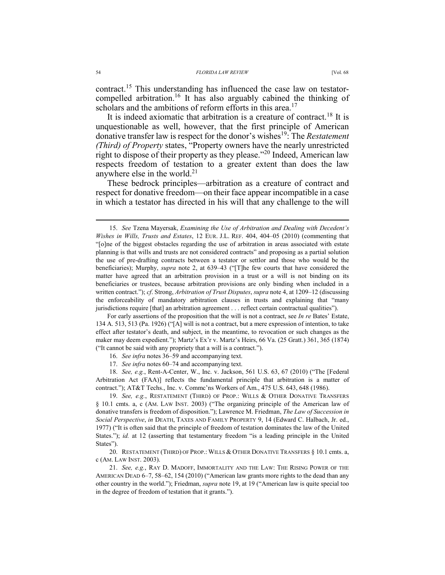contract.15 This understanding has influenced the case law on testatorcompelled arbitration.<sup>16</sup> It has also arguably cabined the thinking of scholars and the ambitions of reform efforts in this area.<sup>17</sup>

It is indeed axiomatic that arbitration is a creature of contract.<sup>18</sup> It is unquestionable as well, however, that the first principle of American donative transfer law is respect for the donor's wishes19: The *Restatement (Third) of Property* states, "Property owners have the nearly unrestricted right to dispose of their property as they please."20 Indeed, American law respects freedom of testation to a greater extent than does the law anywhere else in the world. $2<sup>1</sup>$ 

These bedrock principles—arbitration as a creature of contract and respect for donative freedom—on their face appear incompatible in a case in which a testator has directed in his will that any challenge to the will

For early assertions of the proposition that the will is not a contract, see *In re* Bates' Estate, 134 A. 513, 513 (Pa. 1926) ("[A] will is not a contract, but a mere expression of intention, to take effect after testator's death, and subject, in the meantime, to revocation or such changes as the maker may deem expedient."); Martz's Ex'r v. Martz's Heirs, 66 Va. (25 Gratt.) 361, 365 (1874) ("It cannot be said with any propriety that a will is a contract.").

17. *See infra* notes 60–74 and accompanying text.

 18. *See, e.g.*, Rent-A-Center, W., Inc. v. Jackson, 561 U.S. 63, 67 (2010) ("The [Federal Arbitration Act (FAA)] reflects the fundamental principle that arbitration is a matter of contract."); AT&T Techs., Inc. v. Commc'ns Workers of Am., 475 U.S. 643, 648 (1986).

 19. *See, e.g.*, RESTATEMENT (THIRD) OF PROP.: WILLS & OTHER DONATIVE TRANSFERS § 10.1 cmts. a, c (AM. LAW INST. 2003) ("The organizing principle of the American law of donative transfers is freedom of disposition."); Lawrence M. Friedman, *The Law of Succession in Social Perspective*, *in* DEATH, TAXES AND FAMILY PROPERTY 9, 14 (Edward C. Halbach, Jr. ed., 1977) ("It is often said that the principle of freedom of testation dominates the law of the United States."); *id.* at 12 (asserting that testamentary freedom "is a leading principle in the United States").

20. RESTATEMENT (THIRD) OF PROP.: WILLS & OTHER DONATIVE TRANSFERS § 10.1 cmts. a, c (AM. LAW INST. 2003).

 21. *See, e.g.*, RAY D. MADOFF, IMMORTALITY AND THE LAW: THE RISING POWER OF THE AMERICAN DEAD 6–7, 58–62, 154 (2010) ("American law grants more rights to the dead than any other country in the world."); Friedman, *supra* note 19, at 19 ("American law is quite special too in the degree of freedom of testation that it grants.").

 <sup>15.</sup> *See* Tzena Mayersak, *Examining the Use of Arbitration and Dealing with Decedent's Wishes in Wills, Trusts and Estates*, 12 EUR. J.L. REF. 404, 404–05 (2010) (commenting that "[o]ne of the biggest obstacles regarding the use of arbitration in areas associated with estate planning is that wills and trusts are not considered contracts" and proposing as a partial solution the use of pre-drafting contracts between a testator or settlor and those who would be the beneficiaries); Murphy, *supra* note 2, at 639–43 ("[T]he few courts that have considered the matter have agreed that an arbitration provision in a trust or a will is not binding on its beneficiaries or trustees, because arbitration provisions are only binding when included in a written contract."); *cf*. Strong, *Arbitration of Trust Disputes*, *supra* note 4, at 1209–12 (discussing the enforceability of mandatory arbitration clauses in trusts and explaining that "many jurisdictions require [that] an arbitration agreement . . . reflect certain contractual qualities").

 <sup>16.</sup> *See infra* notes 36–59 and accompanying text.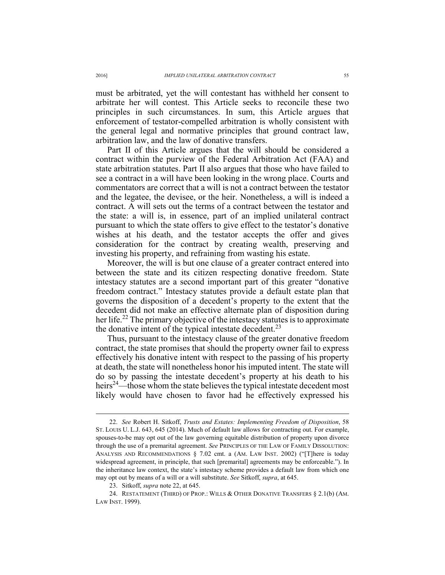must be arbitrated, yet the will contestant has withheld her consent to arbitrate her will contest. This Article seeks to reconcile these two principles in such circumstances. In sum, this Article argues that enforcement of testator-compelled arbitration is wholly consistent with the general legal and normative principles that ground contract law, arbitration law, and the law of donative transfers.

Part II of this Article argues that the will should be considered a contract within the purview of the Federal Arbitration Act (FAA) and state arbitration statutes. Part II also argues that those who have failed to see a contract in a will have been looking in the wrong place. Courts and commentators are correct that a will is not a contract between the testator and the legatee, the devisee, or the heir. Nonetheless, a will is indeed a contract. A will sets out the terms of a contract between the testator and the state: a will is, in essence, part of an implied unilateral contract pursuant to which the state offers to give effect to the testator's donative wishes at his death, and the testator accepts the offer and gives consideration for the contract by creating wealth, preserving and investing his property, and refraining from wasting his estate.

Moreover, the will is but one clause of a greater contract entered into between the state and its citizen respecting donative freedom. State intestacy statutes are a second important part of this greater "donative freedom contract." Intestacy statutes provide a default estate plan that governs the disposition of a decedent's property to the extent that the decedent did not make an effective alternate plan of disposition during her life.<sup>22</sup> The primary objective of the intestacy statutes is to approximate the donative intent of the typical intestate decedent.<sup>23</sup>

Thus, pursuant to the intestacy clause of the greater donative freedom contract, the state promises that should the property owner fail to express effectively his donative intent with respect to the passing of his property at death, the state will nonetheless honor his imputed intent. The state will do so by passing the intestate decedent's property at his death to his heirs<sup>24</sup>—those whom the state believes the typical intestate decedent most likely would have chosen to favor had he effectively expressed his

 <sup>22.</sup> *See* Robert H. Sitkoff, *Trusts and Estates: Implementing Freedom of Disposition*, 58 ST. LOUIS U. L.J. 643, 645 (2014). Much of default law allows for contracting out. For example, spouses-to-be may opt out of the law governing equitable distribution of property upon divorce through the use of a premarital agreement. *See* PRINCIPLES OF THE LAW OF FAMILY DISSOLUTION: ANALYSIS AND RECOMMENDATIONS § 7.02 cmt. a (AM. LAW INST. 2002) ("[T]here is today widespread agreement, in principle, that such [premarital] agreements may be enforceable."). In the inheritance law context, the state's intestacy scheme provides a default law from which one may opt out by means of a will or a will substitute. *See* Sitkoff, *supra*, at 645.

 <sup>23.</sup> Sitkoff, *supra* note 22, at 645.

<sup>24.</sup> RESTATEMENT (THIRD) OF PROP.: WILLS & OTHER DONATIVE TRANSFERS § 2.1(b) (AM. LAW INST. 1999).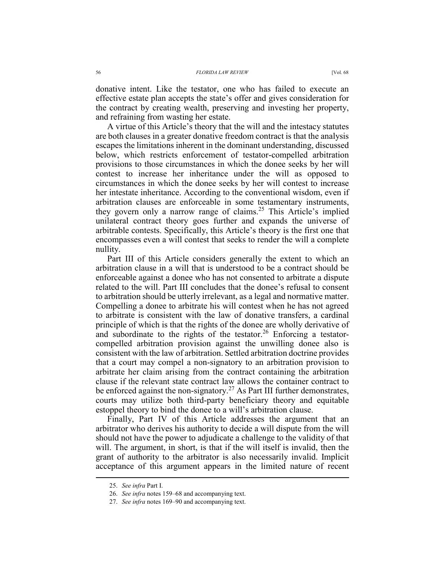donative intent. Like the testator, one who has failed to execute an effective estate plan accepts the state's offer and gives consideration for the contract by creating wealth, preserving and investing her property, and refraining from wasting her estate.

A virtue of this Article's theory that the will and the intestacy statutes are both clauses in a greater donative freedom contract is that the analysis escapes the limitations inherent in the dominant understanding, discussed below, which restricts enforcement of testator-compelled arbitration provisions to those circumstances in which the donee seeks by her will contest to increase her inheritance under the will as opposed to circumstances in which the donee seeks by her will contest to increase her intestate inheritance. According to the conventional wisdom, even if arbitration clauses are enforceable in some testamentary instruments, they govern only a narrow range of claims.<sup>25</sup> This Article's implied unilateral contract theory goes further and expands the universe of arbitrable contests. Specifically, this Article's theory is the first one that encompasses even a will contest that seeks to render the will a complete nullity.

Part III of this Article considers generally the extent to which an arbitration clause in a will that is understood to be a contract should be enforceable against a donee who has not consented to arbitrate a dispute related to the will. Part III concludes that the donee's refusal to consent to arbitration should be utterly irrelevant, as a legal and normative matter. Compelling a donee to arbitrate his will contest when he has not agreed to arbitrate is consistent with the law of donative transfers, a cardinal principle of which is that the rights of the donee are wholly derivative of and subordinate to the rights of the testator.<sup>26</sup> Enforcing a testatorcompelled arbitration provision against the unwilling donee also is consistent with the law of arbitration. Settled arbitration doctrine provides that a court may compel a non-signatory to an arbitration provision to arbitrate her claim arising from the contract containing the arbitration clause if the relevant state contract law allows the container contract to be enforced against the non-signatory.<sup>27</sup> As Part III further demonstrates, courts may utilize both third-party beneficiary theory and equitable estoppel theory to bind the donee to a will's arbitration clause.

Finally, Part IV of this Article addresses the argument that an arbitrator who derives his authority to decide a will dispute from the will should not have the power to adjudicate a challenge to the validity of that will. The argument, in short, is that if the will itself is invalid, then the grant of authority to the arbitrator is also necessarily invalid. Implicit acceptance of this argument appears in the limited nature of recent

 <sup>25.</sup> *See infra* Part I.

 <sup>26.</sup> *See infra* notes 159–68 and accompanying text.

 <sup>27.</sup> *See infra* notes 169–90 and accompanying text.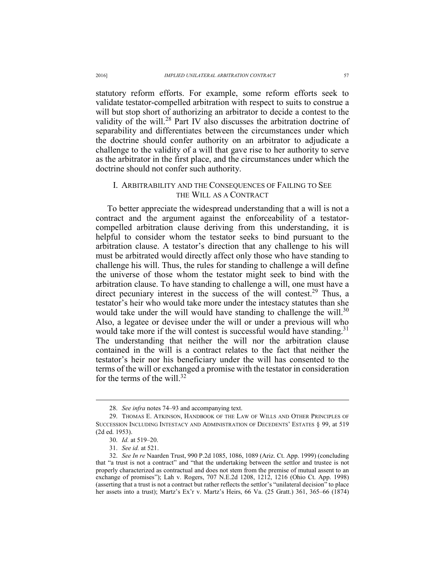statutory reform efforts. For example, some reform efforts seek to validate testator-compelled arbitration with respect to suits to construe a will but stop short of authorizing an arbitrator to decide a contest to the validity of the will.<sup>28</sup> Part IV also discusses the arbitration doctrine of separability and differentiates between the circumstances under which the doctrine should confer authority on an arbitrator to adjudicate a challenge to the validity of a will that gave rise to her authority to serve as the arbitrator in the first place, and the circumstances under which the doctrine should not confer such authority.

## I. ARBITRABILITY AND THE CONSEQUENCES OF FAILING TO SEE THE WILL AS A CONTRACT

To better appreciate the widespread understanding that a will is not a contract and the argument against the enforceability of a testatorcompelled arbitration clause deriving from this understanding, it is helpful to consider whom the testator seeks to bind pursuant to the arbitration clause. A testator's direction that any challenge to his will must be arbitrated would directly affect only those who have standing to challenge his will. Thus, the rules for standing to challenge a will define the universe of those whom the testator might seek to bind with the arbitration clause. To have standing to challenge a will, one must have a direct pecuniary interest in the success of the will contest.<sup>29</sup> Thus, a testator's heir who would take more under the intestacy statutes than she would take under the will would have standing to challenge the will.<sup>30</sup> Also, a legatee or devisee under the will or under a previous will who would take more if the will contest is successful would have standing.<sup>31</sup> The understanding that neither the will nor the arbitration clause contained in the will is a contract relates to the fact that neither the testator's heir nor his beneficiary under the will has consented to the terms of the will or exchanged a promise with the testator in consideration for the terms of the will  $32$ 

 <sup>28.</sup> *See infra* notes 74–93 and accompanying text.

 <sup>29.</sup> THOMAS E. ATKINSON, HANDBOOK OF THE LAW OF WILLS AND OTHER PRINCIPLES OF SUCCESSION INCLUDING INTESTACY AND ADMINISTRATION OF DECEDENTS' ESTATES § 99, at 519 (2d ed. 1953).

 <sup>30.</sup> *Id.* at 519–20.

 <sup>31.</sup> *See id.* at 521.

 <sup>32.</sup> *See In re* Naarden Trust, 990 P.2d 1085, 1086, 1089 (Ariz. Ct. App. 1999) (concluding that "a trust is not a contract" and "that the undertaking between the settlor and trustee is not properly characterized as contractual and does not stem from the premise of mutual assent to an exchange of promises"); Lah v. Rogers, 707 N.E.2d 1208, 1212, 1216 (Ohio Ct. App. 1998) (asserting that a trust is not a contract but rather reflects the settlor's "unilateral decision" to place her assets into a trust); Martz's Ex'r v. Martz's Heirs, 66 Va. (25 Gratt.) 361, 365–66 (1874)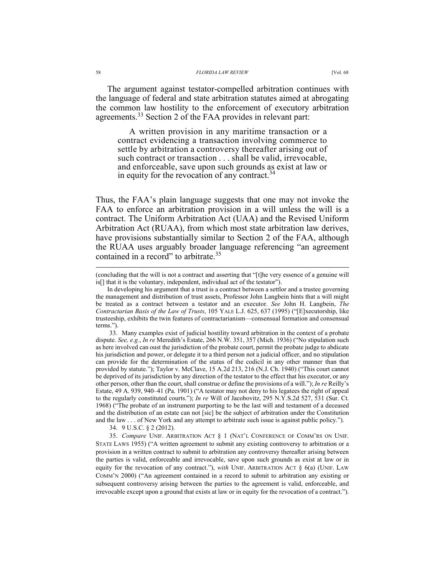The argument against testator-compelled arbitration continues with the language of federal and state arbitration statutes aimed at abrogating the common law hostility to the enforcement of executory arbitration agreements.33 Section 2 of the FAA provides in relevant part:

A written provision in any maritime transaction or a contract evidencing a transaction involving commerce to settle by arbitration a controversy thereafter arising out of such contract or transaction . . . shall be valid, irrevocable, and enforceable, save upon such grounds as exist at law or in equity for the revocation of any contract.<sup>34</sup>

Thus, the FAA's plain language suggests that one may not invoke the FAA to enforce an arbitration provision in a will unless the will is a contract. The Uniform Arbitration Act (UAA) and the Revised Uniform Arbitration Act (RUAA), from which most state arbitration law derives, have provisions substantially similar to Section 2 of the FAA, although the RUAA uses arguably broader language referencing "an agreement contained in a record" to arbitrate.<sup>35</sup>

 33. Many examples exist of judicial hostility toward arbitration in the context of a probate dispute. *See, e.g.*, *In re* Meredith's Estate, 266 N.W. 351, 357 (Mich. 1936) ("No stipulation such as here involved can oust the jurisdiction of the probate court, permit the probate judge to abdicate his jurisdiction and power, or delegate it to a third person not a judicial officer, and no stipulation can provide for the determination of the status of the codicil in any other manner than that provided by statute."); Taylor v. McClave, 15 A.2d 213, 216 (N.J. Ch. 1940) ("This court cannot be deprived of its jurisdiction by any direction of the testator to the effect that his executor, or any other person, other than the court, shall construe or define the provisions of a will."); *In re* Reilly's Estate, 49 A. 939, 940–41 (Pa. 1901) ("A testator may not deny to his legatees the right of appeal to the regularly constituted courts."); *In re* Will of Jacobovitz, 295 N.Y.S.2d 527, 531 (Sur. Ct. 1968) ("The probate of an instrument purporting to be the last will and testament of a deceased and the distribution of an estate can not [sic] be the subject of arbitration under the Constitution and the law . . . of New York and any attempt to arbitrate such issue is against public policy.").

34. 9 U.S.C. § 2 (2012).

 35. *Compare* UNIF. ARBITRATION ACT § 1 (NAT'L CONFERENCE OF COMM'RS ON UNIF. STATE LAWS 1955) ("A written agreement to submit any existing controversy to arbitration or a provision in a written contract to submit to arbitration any controversy thereafter arising between the parties is valid, enforceable and irrevocable, save upon such grounds as exist at law or in equity for the revocation of any contract."), *with* UNIF. ARBITRATION ACT § 6(a) (UNIF. LAW COMM'N 2000) ("An agreement contained in a record to submit to arbitration any existing or subsequent controversy arising between the parties to the agreement is valid, enforceable, and irrevocable except upon a ground that exists at law or in equity for the revocation of a contract.").

<sup>(</sup>concluding that the will is not a contract and asserting that "[t]he very essence of a genuine will is[] that it is the voluntary, independent, individual act of the testator").

In developing his argument that a trust is a contract between a settlor and a trustee governing the management and distribution of trust assets, Professor John Langbein hints that a will might be treated as a contract between a testator and an executor. *See* John H. Langbein, *The Contractarian Basis of the Law of Trusts*, 105 YALE L.J. 625, 637 (1995) ("[E]xecutorship, like trusteeship, exhibits the twin features of contractarianism—consensual formation and consensual terms.").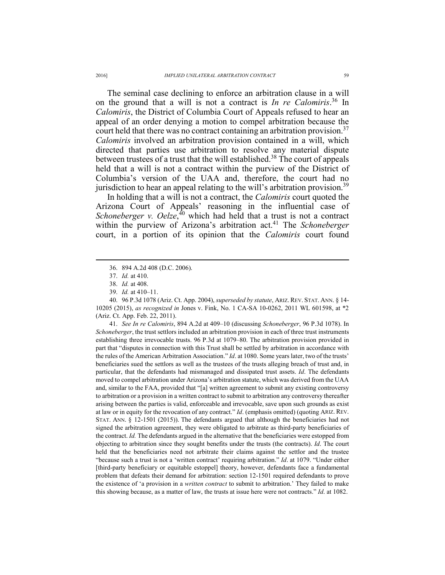The seminal case declining to enforce an arbitration clause in a will on the ground that a will is not a contract is *In re Calomiris*. 36 In *Calomiris*, the District of Columbia Court of Appeals refused to hear an appeal of an order denying a motion to compel arbitration because the court held that there was no contract containing an arbitration provision.<sup>37</sup> *Calomiris* involved an arbitration provision contained in a will, which directed that parties use arbitration to resolve any material dispute between trustees of a trust that the will established.<sup>38</sup> The court of appeals held that a will is not a contract within the purview of the District of Columbia's version of the UAA and, therefore, the court had no jurisdiction to hear an appeal relating to the will's arbitration provision.<sup>39</sup>

In holding that a will is not a contract, the *Calomiris* court quoted the Arizona Court of Appeals' reasoning in the influential case of *Schoneberger v. Oelze*, 40 which had held that a trust is not a contract within the purview of Arizona's arbitration act.<sup>41</sup> The *Schoneberger* court, in a portion of its opinion that the *Calomiris* court found

 $\overline{a}$ 

 40. 96 P.3d 1078 (Ariz. Ct. App. 2004), *superseded by statute*, ARIZ. REV. STAT. ANN. § 14- 10205 (2015), *as recognized in* Jones v. Fink, No. 1 CA-SA 10-0262, 2011 WL 601598, at \*2 (Ariz. Ct. App. Feb. 22, 2011).

 41. *See In re Calomiris*, 894 A.2d at 409–10 (discussing *Schoneberger*, 96 P.3d 1078). In *Schoneberger*, the trust settlors included an arbitration provision in each of three trust instruments establishing three irrevocable trusts. 96 P.3d at 1079–80. The arbitration provision provided in part that "disputes in connection with this Trust shall be settled by arbitration in accordance with the rules of the American Arbitration Association." *Id*. at 1080. Some years later, two of the trusts' beneficiaries sued the settlors as well as the trustees of the trusts alleging breach of trust and, in particular, that the defendants had mismanaged and dissipated trust assets. *Id*. The defendants moved to compel arbitration under Arizona's arbitration statute, which was derived from the UAA and, similar to the FAA, provided that "[a] written agreement to submit any existing controversy to arbitration or a provision in a written contract to submit to arbitration any controversy thereafter arising between the parties is valid, enforceable and irrevocable, save upon such grounds as exist at law or in equity for the revocation of any contract." *Id*. (emphasis omitted) (quoting ARIZ. REV. STAT. ANN. § 12-1501 (2015)). The defendants argued that although the beneficiaries had not signed the arbitration agreement, they were obligated to arbitrate as third-party beneficiaries of the contract. *Id.* The defendants argued in the alternative that the beneficiaries were estopped from objecting to arbitration since they sought benefits under the trusts (the contracts). *Id*. The court held that the beneficiaries need not arbitrate their claims against the settlor and the trustee "because such a trust is not a 'written contract' requiring arbitration." *Id*. at 1079. "Under either [third-party beneficiary or equitable estoppel] theory, however, defendants face a fundamental problem that defeats their demand for arbitration: section 12-1501 required defendants to prove the existence of 'a provision in a *written contract* to submit to arbitration.' They failed to make this showing because, as a matter of law, the trusts at issue here were not contracts." *Id*. at 1082.

 <sup>36. 894</sup> A.2d 408 (D.C. 2006).

 <sup>37.</sup> *Id.* at 410.

 <sup>38.</sup> *Id.* at 408.

 <sup>39.</sup> *Id.* at 410–11.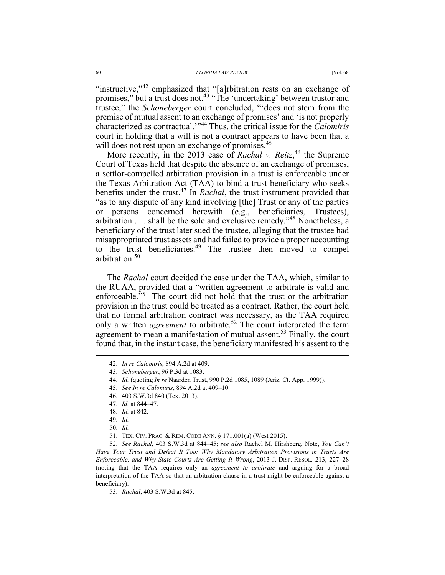"instructive,"<sup>42</sup> emphasized that "[a]rbitration rests on an exchange of promises," but a trust does not.<sup>43</sup> "The 'undertaking' between trustor and trustee," the *Schoneberger* court concluded, "'does not stem from the premise of mutual assent to an exchange of promises' and 'is not properly characterized as contractual.'"44 Thus, the critical issue for the *Calomiris* court in holding that a will is not a contract appears to have been that a will does not rest upon an exchange of promises.<sup>45</sup>

More recently, in the 2013 case of *Rachal v. Reitz*,<sup>46</sup> the Supreme Court of Texas held that despite the absence of an exchange of promises, a settlor-compelled arbitration provision in a trust is enforceable under the Texas Arbitration Act (TAA) to bind a trust beneficiary who seeks benefits under the trust.47 In *Rachal*, the trust instrument provided that "as to any dispute of any kind involving [the] Trust or any of the parties or persons concerned herewith (e.g., beneficiaries, Trustees), arbitration . . . shall be the sole and exclusive remedy."48 Nonetheless, a beneficiary of the trust later sued the trustee, alleging that the trustee had misappropriated trust assets and had failed to provide a proper accounting to the trust beneficiaries.<sup>49</sup> The trustee then moved to compel arbitration.50

The *Rachal* court decided the case under the TAA, which, similar to the RUAA, provided that a "written agreement to arbitrate is valid and enforceable.<sup>551</sup> The court did not hold that the trust or the arbitration provision in the trust could be treated as a contract. Rather, the court held that no formal arbitration contract was necessary, as the TAA required only a written *agreement* to arbitrate.<sup>52</sup> The court interpreted the term agreement to mean a manifestation of mutual assent.<sup>53</sup> Finally, the court found that, in the instant case, the beneficiary manifested his assent to the

 $\overline{a}$ 

 52. *See Rachal*, 403 S.W.3d at 844–45; *see also* Rachel M. Hirshberg, Note, *You Can't Have Your Trust and Defeat It Too: Why Mandatory Arbitration Provisions in Trusts Are Enforceable, and Why State Courts Are Getting It Wrong*, 2013 J. DISP. RESOL. 213, 227–28 (noting that the TAA requires only an *agreement to arbitrate* and arguing for a broad interpretation of the TAA so that an arbitration clause in a trust might be enforceable against a beneficiary).

53. *Rachal*, 403 S.W.3d at 845.

 <sup>42.</sup> *In re Calomiris*, 894 A.2d at 409.

 <sup>43.</sup> *Schoneberger*, 96 P.3d at 1083.

 <sup>44.</sup> *Id.* (quoting *In re* Naarden Trust, 990 P.2d 1085, 1089 (Ariz. Ct. App. 1999)).

 <sup>45.</sup> *See In re Calomiris*, 894 A.2d at 409–10.

 <sup>46. 403</sup> S.W.3d 840 (Tex. 2013).

 <sup>47.</sup> *Id.* at 844–47.

 <sup>48.</sup> *Id.* at 842.

 <sup>49.</sup> *Id.*

 <sup>50.</sup> *Id.*

 <sup>51.</sup> TEX. CIV. PRAC. & REM. CODE ANN. § 171.001(a) (West 2015).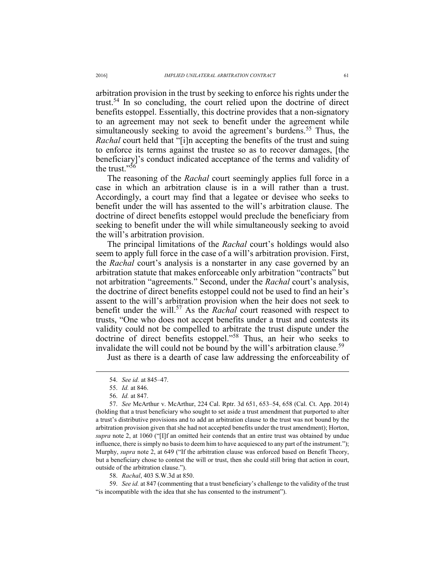arbitration provision in the trust by seeking to enforce his rights under the trust.54 In so concluding, the court relied upon the doctrine of direct benefits estoppel. Essentially, this doctrine provides that a non-signatory to an agreement may not seek to benefit under the agreement while simultaneously seeking to avoid the agreement's burdens.<sup>55</sup> Thus, the *Rachal* court held that "[i]n accepting the benefits of the trust and suing to enforce its terms against the trustee so as to recover damages, [the beneficiary]'s conduct indicated acceptance of the terms and validity of the trust." $56$ 

The reasoning of the *Rachal* court seemingly applies full force in a case in which an arbitration clause is in a will rather than a trust. Accordingly, a court may find that a legatee or devisee who seeks to benefit under the will has assented to the will's arbitration clause. The doctrine of direct benefits estoppel would preclude the beneficiary from seeking to benefit under the will while simultaneously seeking to avoid the will's arbitration provision.

The principal limitations of the *Rachal* court's holdings would also seem to apply full force in the case of a will's arbitration provision. First, the *Rachal* court's analysis is a nonstarter in any case governed by an arbitration statute that makes enforceable only arbitration "contracts" but not arbitration "agreements." Second, under the *Rachal* court's analysis, the doctrine of direct benefits estoppel could not be used to find an heir's assent to the will's arbitration provision when the heir does not seek to benefit under the will.57 As the *Rachal* court reasoned with respect to trusts, "One who does not accept benefits under a trust and contests its validity could not be compelled to arbitrate the trust dispute under the doctrine of direct benefits estoppel."58 Thus, an heir who seeks to invalidate the will could not be bound by the will's arbitration clause.<sup>59</sup>

Just as there is a dearth of case law addressing the enforceability of

 $\overline{a}$ 

 57. *See* McArthur v. McArthur, 224 Cal. Rptr. 3d 651, 653–54, 658 (Cal. Ct. App. 2014) (holding that a trust beneficiary who sought to set aside a trust amendment that purported to alter a trust's distributive provisions and to add an arbitration clause to the trust was not bound by the arbitration provision given that she had not accepted benefits under the trust amendment); Horton, *supra* note 2, at 1060 ("[I]f an omitted heir contends that an entire trust was obtained by undue influence, there is simply no basis to deem him to have acquiesced to any part of the instrument."); Murphy, *supra* note 2, at 649 ("If the arbitration clause was enforced based on Benefit Theory, but a beneficiary chose to contest the will or trust, then she could still bring that action in court, outside of the arbitration clause.").

58. *Rachal*, 403 S.W.3d at 850.

 59. *See id.* at 847 (commenting that a trust beneficiary's challenge to the validity of the trust "is incompatible with the idea that she has consented to the instrument").

 <sup>54.</sup> *See id.* at 845–47.

 <sup>55.</sup> *Id.* at 846.

 <sup>56.</sup> *Id.* at 847.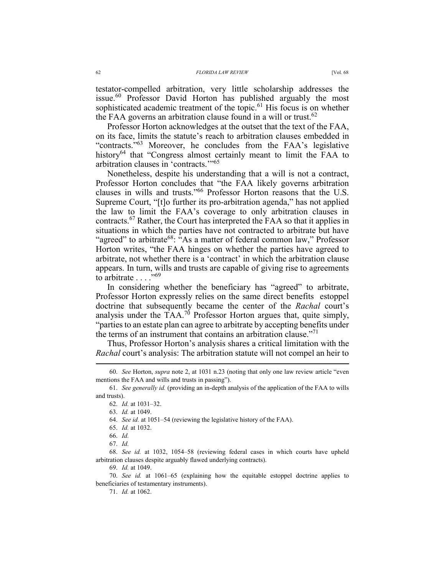testator-compelled arbitration, very little scholarship addresses the issue.60 Professor David Horton has published arguably the most sophisticated academic treatment of the topic.<sup>61</sup> His focus is on whether the FAA governs an arbitration clause found in a will or trust.<sup>62</sup>

Professor Horton acknowledges at the outset that the text of the FAA, on its face, limits the statute's reach to arbitration clauses embedded in "contracts."<sup>63</sup> Moreover, he concludes from the FAA's legislative history64 that "Congress almost certainly meant to limit the FAA to arbitration clauses in 'contracts.'"<sup>65</sup>

Nonetheless, despite his understanding that a will is not a contract, Professor Horton concludes that "the FAA likely governs arbitration clauses in wills and trusts."66 Professor Horton reasons that the U.S. Supreme Court, "[t]o further its pro-arbitration agenda," has not applied the law to limit the FAA's coverage to only arbitration clauses in contracts.67 Rather, the Court has interpreted the FAA so that it applies in situations in which the parties have not contracted to arbitrate but have "agreed" to arbitrate<sup>68</sup>: "As a matter of federal common law," Professor Horton writes, "the FAA hinges on whether the parties have agreed to arbitrate, not whether there is a 'contract' in which the arbitration clause appears. In turn, wills and trusts are capable of giving rise to agreements to arbitrate . . . ."<sup>69</sup>

In considering whether the beneficiary has "agreed" to arbitrate, Professor Horton expressly relies on the same direct benefits estoppel doctrine that subsequently became the center of the *Rachal* court's analysis under the  $TAA$ .<sup>70</sup> Professor Horton argues that, quite simply, "parties to an estate plan can agree to arbitrate by accepting benefits under the terms of an instrument that contains an arbitration clause."<sup>71</sup>

Thus, Professor Horton's analysis shares a critical limitation with the *Rachal* court's analysis: The arbitration statute will not compel an heir to

64. *See id.* at 1051–54 (reviewing the legislative history of the FAA).

- 65. *Id.* at 1032.
- 66. *Id.*
- 67. *Id.*

 $\overline{a}$ 

 68. *See id.* at 1032, 1054–58 (reviewing federal cases in which courts have upheld arbitration clauses despite arguably flawed underlying contracts).

69. *Id.* at 1049.

 70. *See id.* at 1061–65 (explaining how the equitable estoppel doctrine applies to beneficiaries of testamentary instruments).

71. *Id.* at 1062.

 <sup>60.</sup> *See* Horton, *supra* note 2, at 1031 n.23 (noting that only one law review article "even mentions the FAA and wills and trusts in passing").

 <sup>61.</sup> *See generally id.* (providing an in-depth analysis of the application of the FAA to wills and trusts).

 <sup>62.</sup> *Id.* at 1031–32.

 <sup>63.</sup> *Id.* at 1049.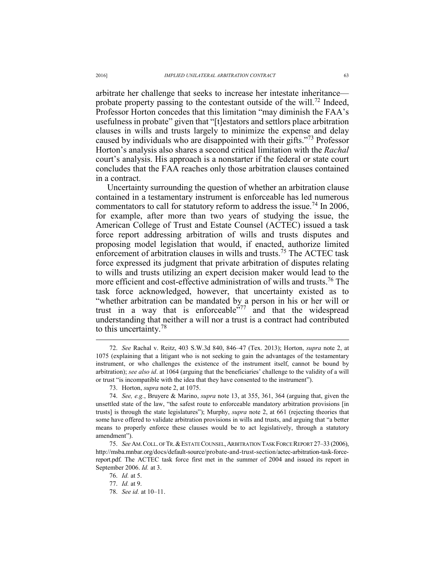arbitrate her challenge that seeks to increase her intestate inheritance probate property passing to the contestant outside of the will.<sup>72</sup> Indeed, Professor Horton concedes that this limitation "may diminish the FAA's usefulness in probate" given that "[t]estators and settlors place arbitration clauses in wills and trusts largely to minimize the expense and delay caused by individuals who are disappointed with their gifts.<sup>"73</sup> Professor Horton's analysis also shares a second critical limitation with the *Rachal* court's analysis. His approach is a nonstarter if the federal or state court concludes that the FAA reaches only those arbitration clauses contained in a contract.

Uncertainty surrounding the question of whether an arbitration clause contained in a testamentary instrument is enforceable has led numerous commentators to call for statutory reform to address the issue.<sup>74</sup> In 2006, for example, after more than two years of studying the issue, the American College of Trust and Estate Counsel (ACTEC) issued a task force report addressing arbitration of wills and trusts disputes and proposing model legislation that would, if enacted, authorize limited enforcement of arbitration clauses in wills and trusts.<sup> $75$ </sup> The ACTEC task force expressed its judgment that private arbitration of disputes relating to wills and trusts utilizing an expert decision maker would lead to the more efficient and cost-effective administration of wills and trusts.<sup>76</sup> The task force acknowledged, however, that uncertainty existed as to "whether arbitration can be mandated by a person in his or her will or trust in a way that is enforceable<sup> $577$ </sup> and that the widespread understanding that neither a will nor a trust is a contract had contributed to this uncertainty.<sup>78</sup>

 <sup>72.</sup> *See* Rachal v. Reitz, 403 S.W.3d 840, 846–47 (Tex. 2013); Horton, *supra* note 2, at 1075 (explaining that a litigant who is not seeking to gain the advantages of the testamentary instrument, or who challenges the existence of the instrument itself, cannot be bound by arbitration); *see also id*. at 1064 (arguing that the beneficiaries' challenge to the validity of a will or trust "is incompatible with the idea that they have consented to the instrument").

 <sup>73.</sup> Horton, *supra* note 2, at 1075.

 <sup>74.</sup> *See, e.g.*, Bruyere & Marino, *supra* note 13, at 355, 361, 364 (arguing that, given the unsettled state of the law, "the safest route to enforceable mandatory arbitration provisions [in trusts] is through the state legislatures"); Murphy, *supra* note 2, at 661 (rejecting theories that some have offered to validate arbitration provisions in wills and trusts, and arguing that "a better means to properly enforce these clauses would be to act legislatively, through a statutory amendment").

 <sup>75.</sup> *See* AM.COLL. OF TR.&ESTATE COUNSEL,ARBITRATION TASK FORCE REPORT 27–33 (2006), http://msba.mnbar.org/docs/default-source/probate-and-trust-section/actec-arbitration-task-forcereport.pdf. The ACTEC task force first met in the summer of 2004 and issued its report in September 2006. *Id.* at 3.

 <sup>76.</sup> *Id.* at 5.

 <sup>77.</sup> *Id.* at 9.

 <sup>78.</sup> *See id.* at 10–11.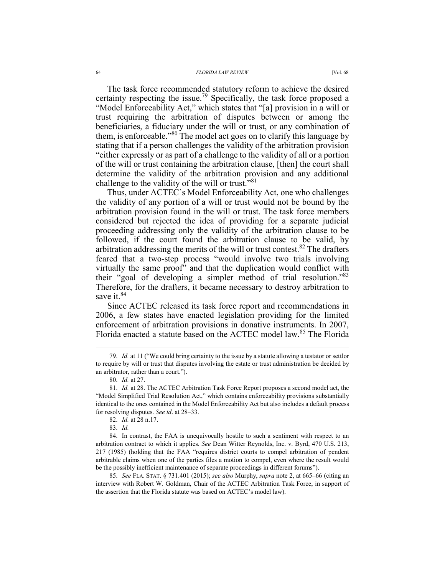The task force recommended statutory reform to achieve the desired certainty respecting the issue.79 Specifically, the task force proposed a "Model Enforceability Act," which states that "[a] provision in a will or trust requiring the arbitration of disputes between or among the beneficiaries, a fiduciary under the will or trust, or any combination of them, is enforceable."80 The model act goes on to clarify this language by stating that if a person challenges the validity of the arbitration provision "either expressly or as part of a challenge to the validity of all or a portion of the will or trust containing the arbitration clause, [then] the court shall determine the validity of the arbitration provision and any additional challenge to the validity of the will or trust."<sup>81</sup>

Thus, under ACTEC's Model Enforceability Act, one who challenges the validity of any portion of a will or trust would not be bound by the arbitration provision found in the will or trust. The task force members considered but rejected the idea of providing for a separate judicial proceeding addressing only the validity of the arbitration clause to be followed, if the court found the arbitration clause to be valid, by arbitration addressing the merits of the will or trust contest.<sup>82</sup> The drafters feared that a two-step process "would involve two trials involving virtually the same proof" and that the duplication would conflict with their "goal of developing a simpler method of trial resolution."83 Therefore, for the drafters, it became necessary to destroy arbitration to save it.<sup>84</sup>

Since ACTEC released its task force report and recommendations in 2006, a few states have enacted legislation providing for the limited enforcement of arbitration provisions in donative instruments. In 2007, Florida enacted a statute based on the ACTEC model law.<sup>85</sup> The Florida

 $\overline{a}$ 

83. *Id.*

 85. *See* FLA. STAT. § 731.401 (2015); *see also* Murphy, *supra* note 2, at 665–66 (citing an interview with Robert W. Goldman, Chair of the ACTEC Arbitration Task Force, in support of the assertion that the Florida statute was based on ACTEC's model law).

 <sup>79.</sup> *Id.* at 11 ("We could bring certainty to the issue by a statute allowing a testator or settlor to require by will or trust that disputes involving the estate or trust administration be decided by an arbitrator, rather than a court.").

 <sup>80.</sup> *Id.* at 27.

 <sup>81.</sup> *Id.* at 28. The ACTEC Arbitration Task Force Report proposes a second model act, the "Model Simplified Trial Resolution Act," which contains enforceability provisions substantially identical to the ones contained in the Model Enforceability Act but also includes a default process for resolving disputes. *See id*. at 28–33.

 <sup>82.</sup> *Id.* at 28 n.17.

 <sup>84.</sup> In contrast, the FAA is unequivocally hostile to such a sentiment with respect to an arbitration contract to which it applies. *See* Dean Witter Reynolds, Inc. v. Byrd, 470 U.S. 213, 217 (1985) (holding that the FAA "requires district courts to compel arbitration of pendent arbitrable claims when one of the parties files a motion to compel, even where the result would be the possibly inefficient maintenance of separate proceedings in different forums").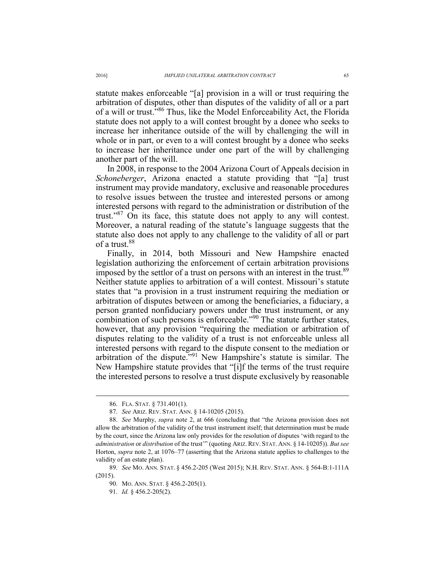statute makes enforceable "[a] provision in a will or trust requiring the arbitration of disputes, other than disputes of the validity of all or a part of a will or trust."86 Thus, like the Model Enforceability Act, the Florida statute does not apply to a will contest brought by a donee who seeks to increase her inheritance outside of the will by challenging the will in whole or in part, or even to a will contest brought by a donee who seeks to increase her inheritance under one part of the will by challenging another part of the will.

In 2008, in response to the 2004 Arizona Court of Appeals decision in *Schoneberger*, Arizona enacted a statute providing that "[a] trust instrument may provide mandatory, exclusive and reasonable procedures to resolve issues between the trustee and interested persons or among interested persons with regard to the administration or distribution of the trust."87 On its face, this statute does not apply to any will contest. Moreover, a natural reading of the statute's language suggests that the statute also does not apply to any challenge to the validity of all or part of a trust.88

Finally, in 2014, both Missouri and New Hampshire enacted legislation authorizing the enforcement of certain arbitration provisions imposed by the settlor of a trust on persons with an interest in the trust.<sup>89</sup> Neither statute applies to arbitration of a will contest. Missouri's statute states that "a provision in a trust instrument requiring the mediation or arbitration of disputes between or among the beneficiaries, a fiduciary, a person granted nonfiduciary powers under the trust instrument, or any combination of such persons is enforceable."<sup>90</sup> The statute further states, however, that any provision "requiring the mediation or arbitration of disputes relating to the validity of a trust is not enforceable unless all interested persons with regard to the dispute consent to the mediation or arbitration of the dispute."91 New Hampshire's statute is similar. The New Hampshire statute provides that "[i]f the terms of the trust require the interested persons to resolve a trust dispute exclusively by reasonable

 <sup>86.</sup> FLA. STAT. § 731.401(1).

 <sup>87.</sup> *See* ARIZ. REV. STAT. ANN. § 14-10205 (2015).

 <sup>88.</sup> *See* Murphy, *supra* note 2, at 666 (concluding that "the Arizona provision does not allow the arbitration of the validity of the trust instrument itself; that determination must be made by the court, since the Arizona law only provides for the resolution of disputes 'with regard to the *administration* or *distribution* of the trust'" (quoting ARIZ. REV. STAT. ANN. § 14-10205)). *But see* Horton, *supra* note 2, at 1076–77 (asserting that the Arizona statute applies to challenges to the validity of an estate plan).

 <sup>89.</sup> *See* MO. ANN. STAT. § 456.2-205 (West 2015); N.H. REV. STAT. ANN. § 564-B:1-111A (2015).

 <sup>90.</sup> MO. ANN. STAT. § 456.2-205(1).

 <sup>91.</sup> *Id.* § 456.2-205(2).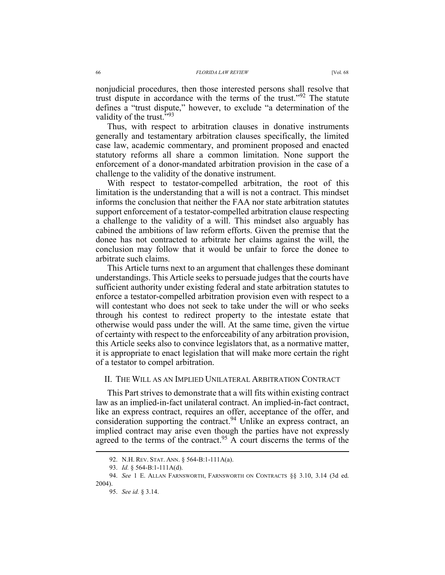nonjudicial procedures, then those interested persons shall resolve that trust dispute in accordance with the terms of the trust."<sup>92</sup> The statute defines a "trust dispute," however, to exclude "a determination of the validity of the trust."<sup>93</sup>

Thus, with respect to arbitration clauses in donative instruments generally and testamentary arbitration clauses specifically, the limited case law, academic commentary, and prominent proposed and enacted statutory reforms all share a common limitation. None support the enforcement of a donor-mandated arbitration provision in the case of a challenge to the validity of the donative instrument.

With respect to testator-compelled arbitration, the root of this limitation is the understanding that a will is not a contract. This mindset informs the conclusion that neither the FAA nor state arbitration statutes support enforcement of a testator-compelled arbitration clause respecting a challenge to the validity of a will. This mindset also arguably has cabined the ambitions of law reform efforts. Given the premise that the donee has not contracted to arbitrate her claims against the will, the conclusion may follow that it would be unfair to force the donee to arbitrate such claims.

This Article turns next to an argument that challenges these dominant understandings. This Article seeks to persuade judges that the courts have sufficient authority under existing federal and state arbitration statutes to enforce a testator-compelled arbitration provision even with respect to a will contestant who does not seek to take under the will or who seeks through his contest to redirect property to the intestate estate that otherwise would pass under the will. At the same time, given the virtue of certainty with respect to the enforceability of any arbitration provision, this Article seeks also to convince legislators that, as a normative matter, it is appropriate to enact legislation that will make more certain the right of a testator to compel arbitration.

## II. THE WILL AS AN IMPLIED UNILATERAL ARBITRATION CONTRACT

This Part strives to demonstrate that a will fits within existing contract law as an implied-in-fact unilateral contract. An implied-in-fact contract, like an express contract, requires an offer, acceptance of the offer, and consideration supporting the contract.<sup>94</sup> Unlike an express contract, an implied contract may arise even though the parties have not expressly agreed to the terms of the contract.<sup>95</sup> A court discerns the terms of the

 <sup>92.</sup> N.H. REV. STAT. ANN. § 564-B:1-111A(a).

 <sup>93.</sup> *Id.* § 564-B:1-111A(d).

 <sup>94.</sup> *See* 1 E. ALLAN FARNSWORTH, FARNSWORTH ON CONTRACTS §§ 3.10, 3.14 (3d ed. 2004).

 <sup>95.</sup> *See id.* § 3.14.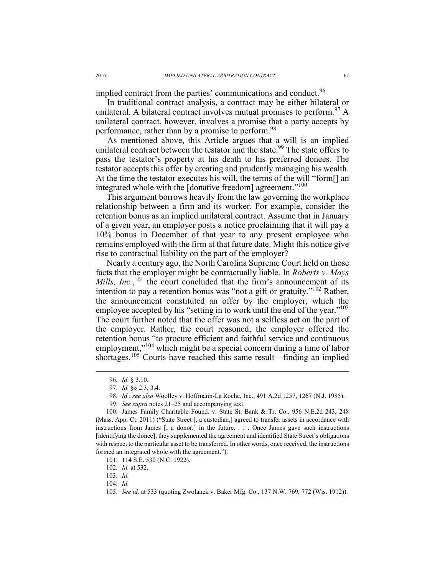implied contract from the parties' communications and conduct.<sup>96</sup>

In traditional contract analysis, a contract may be either bilateral or unilateral. A bilateral contract involves mutual promises to perform.  $97 A$ unilateral contract, however, involves a promise that a party accepts by performance, rather than by a promise to perform.<sup>98</sup>

As mentioned above, this Article argues that a will is an implied unilateral contract between the testator and the state.<sup>99</sup> The state offers to pass the testator's property at his death to his preferred donees. The testator accepts this offer by creating and prudently managing his wealth. At the time the testator executes his will, the terms of the will "form[] an integrated whole with the [donative freedom] agreement."<sup>100</sup>

This argument borrows heavily from the law governing the workplace relationship between a firm and its worker. For example, consider the retention bonus as an implied unilateral contract. Assume that in January of a given year, an employer posts a notice proclaiming that it will pay a 10% bonus in December of that year to any present employee who remains employed with the firm at that future date. Might this notice give rise to contractual liability on the part of the employer?

Nearly a century ago, the North Carolina Supreme Court held on those facts that the employer might be contractually liable. In *Roberts v. Mays Mills, Inc.*,<sup>101</sup> the court concluded that the firm's announcement of its intention to pay a retention bonus was "not a gift or gratuity."102 Rather, the announcement constituted an offer by the employer, which the employee accepted by his "setting in to work until the end of the year."<sup>103</sup> The court further noted that the offer was not a selfless act on the part of the employer. Rather, the court reasoned, the employer offered the retention bonus "to procure efficient and faithful service and continuous employment,"<sup>104</sup> which might be a special concern during a time of labor shortages.<sup>105</sup> Courts have reached this same result—finding an implied

 <sup>96.</sup> *Id.* § 3.10.

 <sup>97.</sup> *Id.* §§ 2.3, 3.4.

 <sup>98.</sup> *Id.*; *see also* Woolley v. Hoffmann-La Roche, Inc., 491 A.2d 1257, 1267 (N.J. 1985).

 <sup>99.</sup> *See supra* notes 21–25 and accompanying text.

 <sup>100.</sup> James Family Charitable Found. v. State St. Bank & Tr. Co., 956 N.E.2d 243, 248 (Mass. App. Ct. 2011) ("State Street [, a custodian,] agreed to transfer assets in accordance with instructions from James [, a donor,] in the future. . . . Once James gave such instructions [identifying the donee], they supplemented the agreement and identified State Street's obligations with respect to the particular asset to be transferred. In other words, once received, the instructions formed an integrated whole with the agreement.").

 <sup>101. 114</sup> S.E. 530 (N.C. 1922).

 <sup>102.</sup> *Id.* at 532.

 <sup>103.</sup> *Id.*

 <sup>104.</sup> *Id.*

 <sup>105.</sup> *See id.* at 533 (quoting Zwolanek v. Baker Mfg. Co., 137 N.W. 769, 772 (Wis. 1912)).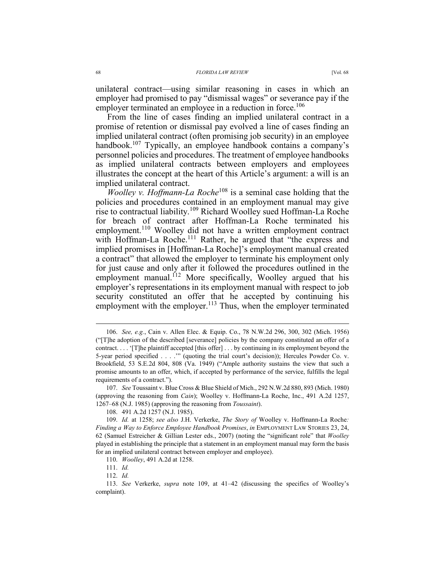unilateral contract—using similar reasoning in cases in which an employer had promised to pay "dismissal wages" or severance pay if the employer terminated an employee in a reduction in force.<sup>106</sup>

From the line of cases finding an implied unilateral contract in a promise of retention or dismissal pay evolved a line of cases finding an implied unilateral contract (often promising job security) in an employee handbook.<sup>107</sup> Typically, an employee handbook contains a company's personnel policies and procedures. The treatment of employee handbooks as implied unilateral contracts between employers and employees illustrates the concept at the heart of this Article's argument: a will is an implied unilateral contract.

*Woolley v. Hoffmann-La Roche*<sup>108</sup> is a seminal case holding that the policies and procedures contained in an employment manual may give rise to contractual liability.109 Richard Woolley sued Hoffman-La Roche for breach of contract after Hoffman-La Roche terminated his employment.<sup>110</sup> Woolley did not have a written employment contract with Hoffman-La Roche.<sup>111</sup> Rather, he argued that "the express and implied promises in [Hoffman-La Roche]'s employment manual created a contract" that allowed the employer to terminate his employment only for just cause and only after it followed the procedures outlined in the employment manual.<sup>112</sup> More specifically, Woolley argued that his employer's representations in its employment manual with respect to job security constituted an offer that he accepted by continuing his employment with the employer.<sup>113</sup> Thus, when the employer terminated

111. *Id.*

 $\overline{a}$ 

112. *Id.*

 <sup>106.</sup> *See, e.g.*, Cain v. Allen Elec. & Equip. Co., 78 N.W.2d 296, 300, 302 (Mich. 1956) ("[T]he adoption of the described [severance] policies by the company constituted an offer of a contract. . . . '[T]he plaintiff accepted [this offer] . . . by continuing in its employment beyond the 5-year period specified . . . .'" (quoting the trial court's decision)); Hercules Powder Co. v. Brookfield, 53 S.E.2d 804, 808 (Va. 1949) ("Ample authority sustains the view that such a promise amounts to an offer, which, if accepted by performance of the service, fulfills the legal requirements of a contract.").

 <sup>107.</sup> *See* Toussaint v. Blue Cross & Blue Shield of Mich., 292 N.W.2d 880, 893 (Mich. 1980) (approving the reasoning from *Cain*); Woolley v. Hoffmann-La Roche, Inc., 491 A.2d 1257, 1267–68 (N.J. 1985) (approving the reasoning from *Toussaint*).

 <sup>108. 491</sup> A.2d 1257 (N.J. 1985).

 <sup>109.</sup> *Id.* at 1258; *see also* J.H. Verkerke, *The Story of* Woolley v. Hoffmann-La Roche*: Finding a Way to Enforce Employee Handbook Promises*, *in* EMPLOYMENT LAW STORIES 23, 24, 62 (Samuel Estreicher & Gillian Lester eds., 2007) (noting the "significant role" that *Woolley* played in establishing the principle that a statement in an employment manual may form the basis for an implied unilateral contract between employer and employee).

 <sup>110.</sup> *Woolley*, 491 A.2d at 1258.

 <sup>113.</sup> *See* Verkerke, *supra* note 109, at 41–42 (discussing the specifics of Woolley's complaint).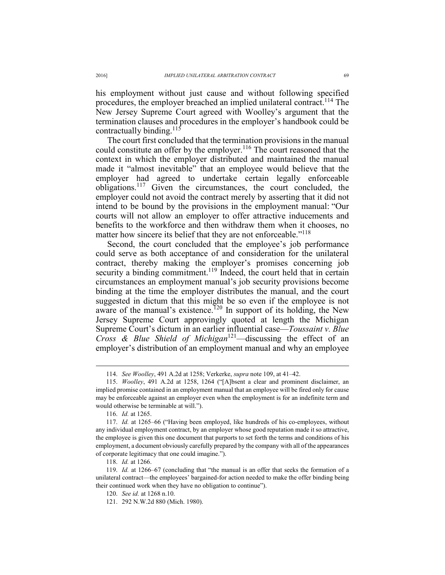his employment without just cause and without following specified procedures, the employer breached an implied unilateral contract.114 The New Jersey Supreme Court agreed with Woolley's argument that the termination clauses and procedures in the employer's handbook could be contractually binding.<sup>115</sup>

The court first concluded that the termination provisions in the manual could constitute an offer by the employer.<sup>116</sup> The court reasoned that the context in which the employer distributed and maintained the manual made it "almost inevitable" that an employee would believe that the employer had agreed to undertake certain legally enforceable obligations.117 Given the circumstances, the court concluded, the employer could not avoid the contract merely by asserting that it did not intend to be bound by the provisions in the employment manual: "Our courts will not allow an employer to offer attractive inducements and benefits to the workforce and then withdraw them when it chooses, no matter how sincere its belief that they are not enforceable."<sup>118</sup>

Second, the court concluded that the employee's job performance could serve as both acceptance of and consideration for the unilateral contract, thereby making the employer's promises concerning job security a binding commitment.<sup>119</sup> Indeed, the court held that in certain circumstances an employment manual's job security provisions become binding at the time the employer distributes the manual, and the court suggested in dictum that this might be so even if the employee is not aware of the manual's existence.<sup>120</sup> In support of its holding, the New Jersey Supreme Court approvingly quoted at length the Michigan Supreme Court's dictum in an earlier influential case—*Toussaint v. Blue Cross & Blue Shield of Michigan*121—discussing the effect of an employer's distribution of an employment manual and why an employee

 <sup>114.</sup> *See Woolley*, 491 A.2d at 1258; Verkerke, *supra* note 109, at 41–42.

 <sup>115.</sup> *Woolley*, 491 A.2d at 1258, 1264 ("[A]bsent a clear and prominent disclaimer, an implied promise contained in an employment manual that an employee will be fired only for cause may be enforceable against an employer even when the employment is for an indefinite term and would otherwise be terminable at will.").

 <sup>116.</sup> *Id.* at 1265.

 <sup>117.</sup> *Id.* at 1265–66 ("Having been employed, like hundreds of his co-employees, without any individual employment contract, by an employer whose good reputation made it so attractive, the employee is given this one document that purports to set forth the terms and conditions of his employment, a document obviously carefully prepared by the company with all of the appearances of corporate legitimacy that one could imagine.").

 <sup>118.</sup> *Id.* at 1266.

 <sup>119.</sup> *Id.* at 1266–67 (concluding that "the manual is an offer that seeks the formation of a unilateral contract—the employees' bargained-for action needed to make the offer binding being their continued work when they have no obligation to continue").

 <sup>120.</sup> *See id.* at 1268 n.10.

 <sup>121. 292</sup> N.W.2d 880 (Mich. 1980).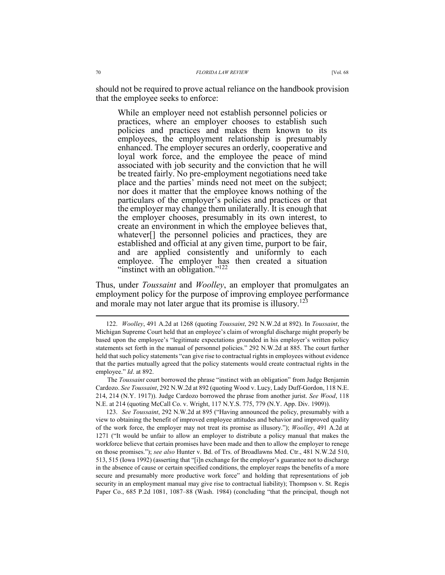should not be required to prove actual reliance on the handbook provision that the employee seeks to enforce:

While an employer need not establish personnel policies or practices, where an employer chooses to establish such policies and practices and makes them known to its employees, the employment relationship is presumably enhanced. The employer secures an orderly, cooperative and loyal work force, and the employee the peace of mind associated with job security and the conviction that he will be treated fairly. No pre-employment negotiations need take place and the parties' minds need not meet on the subject; nor does it matter that the employee knows nothing of the particulars of the employer's policies and practices or that the employer may change them unilaterally. It is enough that the employer chooses, presumably in its own interest, to create an environment in which the employee believes that, whatever[] the personnel policies and practices, they are established and official at any given time, purport to be fair, and are applied consistently and uniformly to each employee. The employer has then created a situation "instinct with an obligation."<sup>122</sup>

Thus, under *Toussaint* and *Woolley*, an employer that promulgates an employment policy for the purpose of improving employee performance and morale may not later argue that its promise is illusory.<sup>123</sup>

 123. *See Toussaint*, 292 N.W.2d at 895 ("Having announced the policy, presumably with a view to obtaining the benefit of improved employee attitudes and behavior and improved quality of the work force, the employer may not treat its promise as illusory."); *Woolley*, 491 A.2d at 1271 ("It would be unfair to allow an employer to distribute a policy manual that makes the workforce believe that certain promises have been made and then to allow the employer to renege on those promises."); *see also* Hunter v. Bd. of Trs. of Broadlawns Med. Ctr., 481 N.W.2d 510, 513, 515 (Iowa 1992) (asserting that "[i]n exchange for the employer's guarantee not to discharge in the absence of cause or certain specified conditions, the employer reaps the benefits of a more secure and presumably more productive work force" and holding that representations of job security in an employment manual may give rise to contractual liability); Thompson v. St. Regis Paper Co., 685 P.2d 1081, 1087–88 (Wash. 1984) (concluding "that the principal, though not

 <sup>122.</sup> *Woolley*, 491 A.2d at 1268 (quoting *Toussaint*, 292 N.W.2d at 892). In *Toussaint*, the Michigan Supreme Court held that an employee's claim of wrongful discharge might properly be based upon the employee's "legitimate expectations grounded in his employer's written policy statements set forth in the manual of personnel policies." 292 N.W.2d at 885. The court further held that such policy statements "can give rise to contractual rights in employees without evidence that the parties mutually agreed that the policy statements would create contractual rights in the employee." *Id*. at 892.

The *Toussaint* court borrowed the phrase "instinct with an obligation" from Judge Benjamin Cardozo. *See Toussaint*, 292 N.W.2d at 892 (quoting Wood v. Lucy, Lady Duff-Gordon, 118 N.E. 214, 214 (N.Y. 1917)). Judge Cardozo borrowed the phrase from another jurist. *See Wood*, 118 N.E. at 214 (quoting McCall Co. v. Wright, 117 N.Y.S. 775, 779 (N.Y. App. Div. 1909)).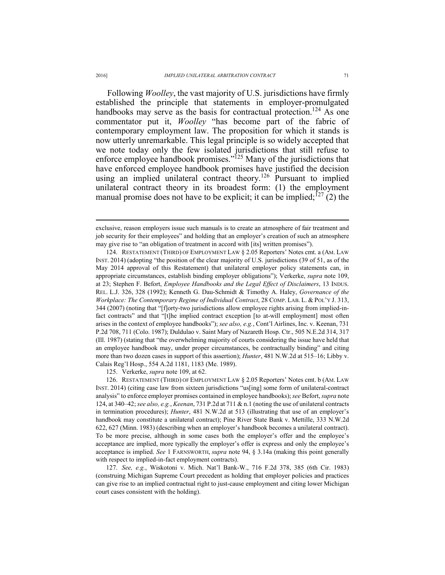Following *Woolley*, the vast majority of U.S. jurisdictions have firmly established the principle that statements in employer-promulgated handbooks may serve as the basis for contractual protection.<sup>124</sup> As one commentator put it, *Woolley* "has become part of the fabric of contemporary employment law. The proposition for which it stands is now utterly unremarkable. This legal principle is so widely accepted that we note today only the few isolated jurisdictions that still refuse to enforce employee handbook promises."<sup>125</sup> Many of the jurisdictions that have enforced employee handbook promises have justified the decision using an implied unilateral contract theory.<sup>126</sup> Pursuant to implied unilateral contract theory in its broadest form: (1) the employment manual promise does not have to be explicit; it can be implied;  $^{127}$  (2) the

125. Verkerke, *supra* note 109, at 62.

 127. *See, e.g.*, Wiskotoni v. Mich. Nat'l Bank-W., 716 F.2d 378, 385 (6th Cir. 1983) (construing Michigan Supreme Court precedent as holding that employer policies and practices can give rise to an implied contractual right to just-cause employment and citing lower Michigan court cases consistent with the holding).

exclusive, reason employers issue such manuals is to create an atmosphere of fair treatment and job security for their employees" and holding that an employer's creation of such an atmosphere may give rise to "an obligation of treatment in accord with [its] written promises").

 <sup>124.</sup> RESTATEMENT (THIRD) OF EMPLOYMENT LAW § 2.05 Reporters' Notes cmt. a (AM. LAW INST. 2014) (adopting "the position of the clear majority of U.S. jurisdictions (39 of 51, as of the May 2014 approval of this Restatement) that unilateral employer policy statements can, in appropriate circumstances, establish binding employer obligations"); Verkerke, *supra* note 109, at 23; Stephen F. Befort, *Employee Handbooks and the Legal Effect of Disclaimers*, 13 INDUS. REL. L.J. 326, 328 (1992); Kenneth G. Dau-Schmidt & Timothy A. Haley, *Governance of the Workplace: The Contemporary Regime of Individual Contract*, 28 COMP. LAB. L. & POL'Y J. 313, 344 (2007) (noting that "[f]orty-two jurisdictions allow employee rights arising from implied-infact contracts" and that "[t]he implied contract exception [to at-will employment] most often arises in the context of employee handbooks"); *see also, e.g.*, Cont'l Airlines, Inc. v. Keenan, 731 P.2d 708, 711 (Colo. 1987); Duldulao v. Saint Mary of Nazareth Hosp. Ctr., 505 N.E.2d 314, 317 (Ill. 1987) (stating that "the overwhelming majority of courts considering the issue have held that an employee handbook may, under proper circumstances, be contractually binding" and citing more than two dozen cases in support of this assertion); *Hunter*, 481 N.W.2d at 515–16; Libby v. Calais Reg'l Hosp., 554 A.2d 1181, 1183 (Me. 1989).

 <sup>126.</sup> RESTATEMENT (THIRD) OF EMPLOYMENT LAW § 2.05 Reporters' Notes cmt. b (AM. LAW INST. 2014) (citing case law from sixteen jurisdictions "us[ing] some form of unilateral-contract analysis" to enforce employer promises contained in employee handbooks); *see* Befort, *supra* note 124, at 340–42; *see also, e.g.*, *Keenan*, 731 P.2d at 711 & n.1 (noting the use of unilateral contracts in termination procedures); *Hunter*, 481 N.W.2d at 513 (illustrating that use of an employer's handbook may constitute a unilateral contract); Pine River State Bank v. Mettille, 333 N.W.2d 622, 627 (Minn. 1983) (describing when an employer's handbook becomes a unilateral contract). To be more precise, although in some cases both the employer's offer and the employee's acceptance are implied, more typically the employer's offer is express and only the employee's acceptance is implied. *See* 1 FARNSWORTH, *supra* note 94, § 3.14a (making this point generally with respect to implied-in-fact employment contracts).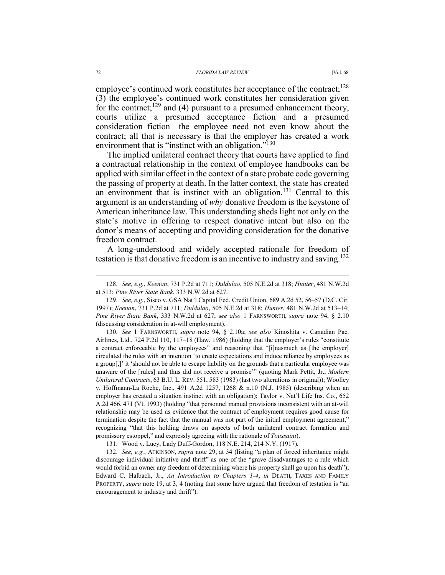employee's continued work constitutes her acceptance of the contract;<sup>128</sup> (3) the employee's continued work constitutes her consideration given for the contract; $129$  and (4) pursuant to a presumed enhancement theory, courts utilize a presumed acceptance fiction and a presumed consideration fiction—the employee need not even know about the contract; all that is necessary is that the employer has created a work environment that is "instinct with an obligation."<sup>130</sup>

The implied unilateral contract theory that courts have applied to find a contractual relationship in the context of employee handbooks can be applied with similar effect in the context of a state probate code governing the passing of property at death. In the latter context, the state has created an environment that is instinct with an obligation.<sup>131</sup> Central to this argument is an understanding of *why* donative freedom is the keystone of American inheritance law. This understanding sheds light not only on the state's motive in offering to respect donative intent but also on the donor's means of accepting and providing consideration for the donative freedom contract.

A long-understood and widely accepted rationale for freedom of testation is that donative freedom is an incentive to industry and saving.132

 130. *See* 1 FARNSWORTH, *supra* note 94, § 2.10a; *see also* Kinoshita v. Canadian Pac. Airlines, Ltd., 724 P.2d 110, 117–18 (Haw. 1986) (holding that the employer's rules "constitute a contract enforceable by the employees" and reasoning that "[i]nasmuch as [the employer] circulated the rules with an intention 'to create expectations and induce reliance by employees as a group[,]' it 'should not be able to escape liability on the grounds that a particular employee was unaware of the [rules] and thus did not receive a promise'" (quoting Mark Pettit, Jr., *Modern Unilateral Contracts*, 63 B.U. L. REV. 551, 583 (1983) (last two alterations in original)); Woolley v. Hoffmann-La Roche, Inc., 491 A.2d 1257, 1268 & n.10 (N.J. 1985) (describing when an employer has created a situation instinct with an obligation); Taylor v. Nat'l Life Ins. Co., 652 A.2d 466, 471 (Vt. 1993) (holding "that personnel manual provisions inconsistent with an at-will relationship may be used as evidence that the contract of employment requires good cause for termination despite the fact that the manual was not part of the initial employment agreement," recognizing "that this holding draws on aspects of both unilateral contract formation and promissory estoppel," and expressly agreeing with the rationale of *Toussaint*).

131. Wood v. Lucy, Lady Duff-Gordon, 118 N.E. 214, 214 N.Y. (1917).

 132. *See, e.g.*, ATKINSON, *supra* note 29, at 34 (listing "a plan of forced inheritance might discourage individual initiative and thrift" as one of the "grave disadvantages to a rule which would forbid an owner any freedom of determining where his property shall go upon his death"); Edward C. Halbach, Jr., *An Introduction to Chapters 1-4*, *in* DEATH, TAXES AND FAMILY PROPERTY, *supra* note 19, at 3, 4 (noting that some have argued that freedom of testation is "an encouragement to industry and thrift").

 <sup>128.</sup> *See, e.g.*, *Keenan*, 731 P.2d at 711; *Duldulao*, 505 N.E.2d at 318; *Hunter*, 481 N.W.2d at 513; *Pine River State Bank*, 333 N.W.2d at 627.

 <sup>129.</sup> *See, e.g.*, Sisco v. GSA Nat'l Capital Fed. Credit Union, 689 A.2d 52, 56–57 (D.C. Cir. 1997); *Keenan*, 731 P.2d at 711; *Duldulao*, 505 N.E.2d at 318; *Hunter*, 481 N.W.2d at 513–14; *Pine River State Bank*, 333 N.W.2d at 627; s*ee also* 1 FARNSWORTH, *supra* note 94, § 2.10 (discussing consideration in at-will employment).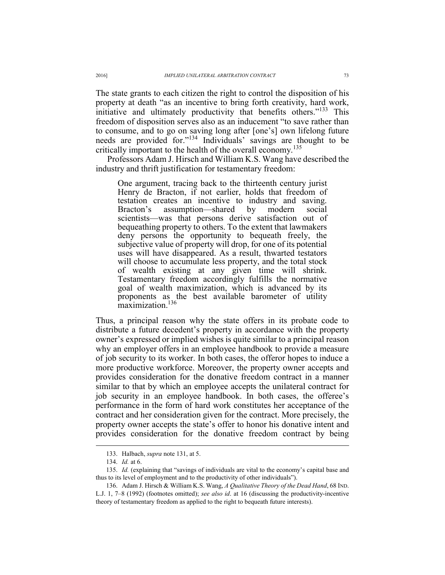The state grants to each citizen the right to control the disposition of his property at death "as an incentive to bring forth creativity, hard work, initiative and ultimately productivity that benefits others."133 This freedom of disposition serves also as an inducement "to save rather than to consume, and to go on saving long after [one's] own lifelong future needs are provided for."134 Individuals' savings are thought to be critically important to the health of the overall economy.<sup>135</sup>

Professors Adam J. Hirsch and William K.S. Wang have described the industry and thrift justification for testamentary freedom:

One argument, tracing back to the thirteenth century jurist Henry de Bracton, if not earlier, holds that freedom of testation creates an incentive to industry and saving. Bracton's assumption—shared by modern social scientists—was that persons derive satisfaction out of bequeathing property to others. To the extent that lawmakers deny persons the opportunity to bequeath freely, the subjective value of property will drop, for one of its potential uses will have disappeared. As a result, thwarted testators will choose to accumulate less property, and the total stock of wealth existing at any given time will shrink. Testamentary freedom accordingly fulfills the normative goal of wealth maximization, which is advanced by its proponents as the best available barometer of utility maximization.<sup>136</sup>

Thus, a principal reason why the state offers in its probate code to distribute a future decedent's property in accordance with the property owner's expressed or implied wishes is quite similar to a principal reason why an employer offers in an employee handbook to provide a measure of job security to its worker. In both cases, the offeror hopes to induce a more productive workforce. Moreover, the property owner accepts and provides consideration for the donative freedom contract in a manner similar to that by which an employee accepts the unilateral contract for job security in an employee handbook. In both cases, the offeree's performance in the form of hard work constitutes her acceptance of the contract and her consideration given for the contract. More precisely, the property owner accepts the state's offer to honor his donative intent and provides consideration for the donative freedom contract by being

 <sup>133.</sup> Halbach, *supra* note 131, at 5.

 <sup>134.</sup> *Id.* at 6.

 <sup>135.</sup> *Id.* (explaining that "savings of individuals are vital to the economy's capital base and thus to its level of employment and to the productivity of other individuals").

 <sup>136.</sup> Adam J. Hirsch & William K.S. Wang, *A Qualitative Theory of the Dead Hand*, 68 IND. L.J. 1, 7–8 (1992) (footnotes omitted); *see also id*. at 16 (discussing the productivity-incentive theory of testamentary freedom as applied to the right to bequeath future interests).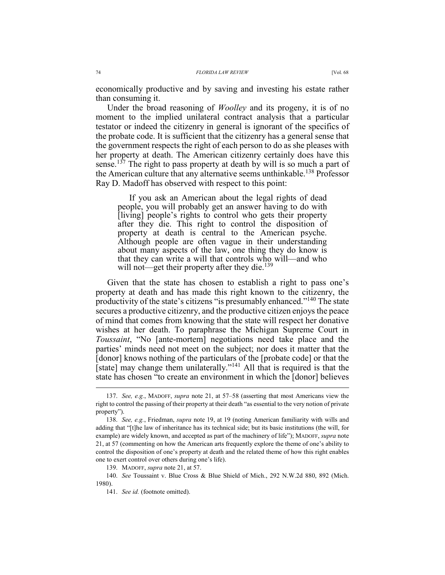economically productive and by saving and investing his estate rather than consuming it.

Under the broad reasoning of *Woolley* and its progeny, it is of no moment to the implied unilateral contract analysis that a particular testator or indeed the citizenry in general is ignorant of the specifics of the probate code. It is sufficient that the citizenry has a general sense that the government respects the right of each person to do as she pleases with her property at death. The American citizenry certainly does have this sense.<sup>137</sup> The right to pass property at death by will is so much a part of the American culture that any alternative seems unthinkable.<sup>138</sup> Professor Ray D. Madoff has observed with respect to this point:

If you ask an American about the legal rights of dead people, you will probably get an answer having to do with [living] people's rights to control who gets their property after they die. This right to control the disposition of property at death is central to the American psyche. Although people are often vague in their understanding about many aspects of the law, one thing they do know is that they can write a will that controls who will—and who will not—get their property after they die.<sup>139</sup>

Given that the state has chosen to establish a right to pass one's property at death and has made this right known to the citizenry, the productivity of the state's citizens "is presumably enhanced."140 The state secures a productive citizenry, and the productive citizen enjoys the peace of mind that comes from knowing that the state will respect her donative wishes at her death. To paraphrase the Michigan Supreme Court in *Toussaint*, "No [ante-mortem] negotiations need take place and the parties' minds need not meet on the subject; nor does it matter that the [donor] knows nothing of the particulars of the [probate code] or that the [state] may change them unilaterally."141 All that is required is that the state has chosen "to create an environment in which the [donor] believes

 <sup>137.</sup> *See, e.g.*, MADOFF, *supra* note 21, at 57–58 (asserting that most Americans view the right to control the passing of their property at their death "as essential to the very notion of private property").

 <sup>138.</sup> *See, e.g.*, Friedman, *supra* note 19, at 19 (noting American familiarity with wills and adding that "[t]he law of inheritance has its technical side; but its basic institutions (the will, for example) are widely known, and accepted as part of the machinery of life"); MADOFF, *supra* note 21, at 57 (commenting on how the American arts frequently explore the theme of one's ability to control the disposition of one's property at death and the related theme of how this right enables one to exert control over others during one's life).

 <sup>139.</sup> MADOFF, *supra* note 21, at 57.

 <sup>140.</sup> *See* Toussaint v. Blue Cross & Blue Shield of Mich., 292 N.W.2d 880, 892 (Mich. 1980).

 <sup>141.</sup> *See id.* (footnote omitted).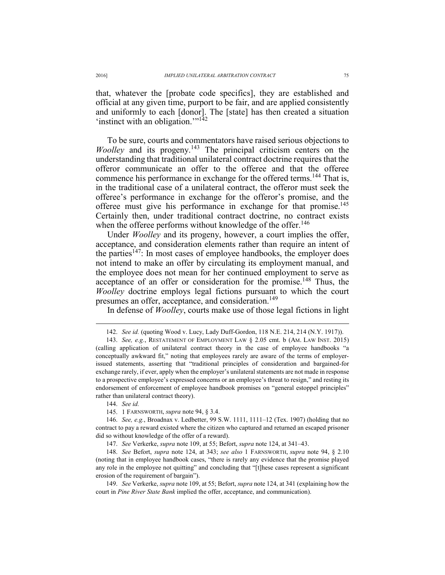that, whatever the [probate code specifics], they are established and official at any given time, purport to be fair, and are applied consistently and uniformly to each [donor]. The [state] has then created a situation 'instinct with an obligation."<sup>142</sup>

To be sure, courts and commentators have raised serious objections to *Woolley* and its progeny.<sup>143</sup> The principal criticism centers on the understanding that traditional unilateral contract doctrine requires that the offeror communicate an offer to the offeree and that the offeree commence his performance in exchange for the offered terms.<sup>144</sup> That is, in the traditional case of a unilateral contract, the offeror must seek the offeree's performance in exchange for the offeror's promise, and the offeree must give his performance in exchange for that promise.<sup>145</sup> Certainly then, under traditional contract doctrine, no contract exists when the offeree performs without knowledge of the offer.<sup>146</sup>

Under *Woolley* and its progeny, however, a court implies the offer, acceptance, and consideration elements rather than require an intent of the parties<sup> $147$ </sup>: In most cases of employee handbooks, the employer does not intend to make an offer by circulating its employment manual, and the employee does not mean for her continued employment to serve as acceptance of an offer or consideration for the promise.<sup>148</sup> Thus, the *Woolley* doctrine employs legal fictions pursuant to which the court presumes an offer, acceptance, and consideration.<sup>149</sup>

In defense of *Woolley*, courts make use of those legal fictions in light

144. *See id.*

 $\overline{a}$ 

145. 1 FARNSWORTH, *supra* note 94, § 3.4.

 146. *See, e.g.*, Broadnax v. Ledbetter, 99 S.W. 1111, 1111–12 (Tex. 1907) (holding that no contract to pay a reward existed where the citizen who captured and returned an escaped prisoner did so without knowledge of the offer of a reward).

147. *See* Verkerke, *supra* note 109, at 55; Befort, *supra* note 124, at 341–43.

 148. *See* Befort, *supra* note 124, at 343; *see also* 1 FARNSWORTH, *supra* note 94, § 2.10 (noting that in employee handbook cases, "there is rarely any evidence that the promise played any role in the employee not quitting" and concluding that "[t]hese cases represent a significant erosion of the requirement of bargain").

 149. *See* Verkerke, *supra* note 109, at 55; Befort, *supra* note 124, at 341 (explaining how the court in *Pine River State Bank* implied the offer, acceptance, and communication).

 <sup>142.</sup> *See id.* (quoting Wood v. Lucy, Lady Duff-Gordon, 118 N.E. 214, 214 (N.Y. 1917)).

 <sup>143.</sup> *See, e.g.*, RESTATEMENT OF EMPLOYMENT LAW § 2.05 cmt. b (AM. LAW INST. 2015) (calling application of unilateral contract theory in the case of employee handbooks "a conceptually awkward fit," noting that employees rarely are aware of the terms of employerissued statements, asserting that "traditional principles of consideration and bargained-for exchange rarely, if ever, apply when the employer's unilateral statements are not made in response to a prospective employee's expressed concerns or an employee's threat to resign," and resting its endorsement of enforcement of employee handbook promises on "general estoppel principles" rather than unilateral contract theory).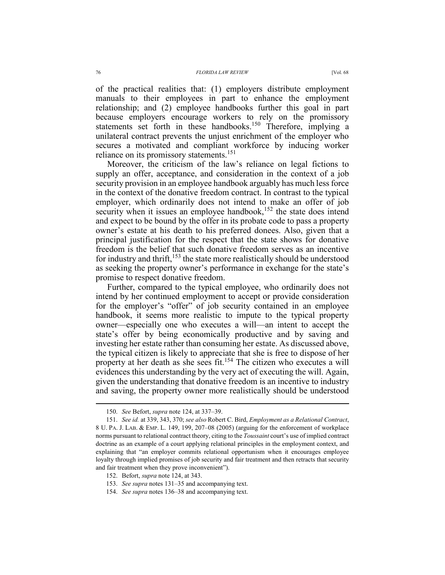manuals to their employees in part to enhance the employment relationship; and (2) employee handbooks further this goal in part because employers encourage workers to rely on the promissory statements set forth in these handbooks.<sup>150</sup> Therefore, implying a unilateral contract prevents the unjust enrichment of the employer who secures a motivated and compliant workforce by inducing worker reliance on its promissory statements.<sup>151</sup>

Moreover, the criticism of the law's reliance on legal fictions to supply an offer, acceptance, and consideration in the context of a job security provision in an employee handbook arguably has much less force in the context of the donative freedom contract. In contrast to the typical employer, which ordinarily does not intend to make an offer of job security when it issues an employee handbook,<sup>152</sup> the state does intend and expect to be bound by the offer in its probate code to pass a property owner's estate at his death to his preferred donees. Also, given that a principal justification for the respect that the state shows for donative freedom is the belief that such donative freedom serves as an incentive for industry and thrift,  $153$  the state more realistically should be understood as seeking the property owner's performance in exchange for the state's promise to respect donative freedom.

Further, compared to the typical employee, who ordinarily does not intend by her continued employment to accept or provide consideration for the employer's "offer" of job security contained in an employee handbook, it seems more realistic to impute to the typical property owner—especially one who executes a will—an intent to accept the state's offer by being economically productive and by saving and investing her estate rather than consuming her estate. As discussed above, the typical citizen is likely to appreciate that she is free to dispose of her property at her death as she sees fit.154 The citizen who executes a will evidences this understanding by the very act of executing the will. Again, given the understanding that donative freedom is an incentive to industry and saving, the property owner more realistically should be understood

 <sup>150.</sup> *See* Befort, *supra* note 124, at 337–39.

 <sup>151.</sup> *See id.* at 339, 343, 370; *see also* Robert C. Bird, *Employment as a Relational Contract*, 8 U. PA. J. LAB. & EMP. L. 149, 199, 207–08 (2005) (arguing for the enforcement of workplace norms pursuant to relational contract theory, citing to the *Toussaint* court's use of implied contract doctrine as an example of a court applying relational principles in the employment context, and explaining that "an employer commits relational opportunism when it encourages employee loyalty through implied promises of job security and fair treatment and then retracts that security and fair treatment when they prove inconvenient").

 <sup>152.</sup> Befort, *supra* note 124, at 343.

 <sup>153.</sup> *See supra* notes 131–35 and accompanying text.

 <sup>154.</sup> *See supra* notes 136–38 and accompanying text.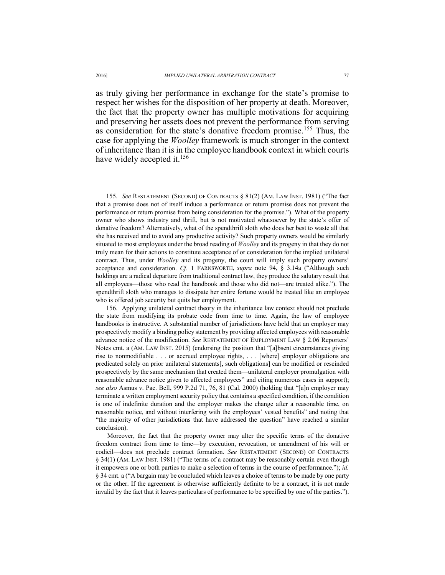as truly giving her performance in exchange for the state's promise to respect her wishes for the disposition of her property at death. Moreover, the fact that the property owner has multiple motivations for acquiring and preserving her assets does not prevent the performance from serving as consideration for the state's donative freedom promise.155 Thus, the case for applying the *Woolley* framework is much stronger in the context of inheritance than it is in the employee handbook context in which courts have widely accepted it.<sup>156</sup>

 155. *See* RESTATEMENT (SECOND) OF CONTRACTS § 81(2) (AM. LAW INST. 1981) ("The fact that a promise does not of itself induce a performance or return promise does not prevent the performance or return promise from being consideration for the promise."). What of the property owner who shows industry and thrift, but is not motivated whatsoever by the state's offer of donative freedom? Alternatively, what of the spendthrift sloth who does her best to waste all that she has received and to avoid any productive activity? Such property owners would be similarly situated to most employees under the broad reading of *Woolley* and its progeny in that they do not truly mean for their actions to constitute acceptance of or consideration for the implied unilateral contract. Thus, under *Woolley* and its progeny, the court will imply such property owners' acceptance and consideration. *Cf.* 1 FARNSWORTH, *supra* note 94, § 3.14a ("Although such holdings are a radical departure from traditional contract law, they produce the salutary result that all employees—those who read the handbook and those who did not—are treated alike."). The spendthrift sloth who manages to dissipate her entire fortune would be treated like an employee who is offered job security but quits her employment.

 156. Applying unilateral contract theory in the inheritance law context should not preclude the state from modifying its probate code from time to time. Again, the law of employee handbooks is instructive. A substantial number of jurisdictions have held that an employer may prospectively modify a binding policy statement by providing affected employees with reasonable advance notice of the modification. *See* RESTATEMENT OF EMPLOYMENT LAW § 2.06 Reporters' Notes cmt. a (AM. LAW INST. 2015) (endorsing the position that "[a]bsent circumstances giving rise to nonmodifiable . . . or accrued employee rights, . . . [where] employer obligations are predicated solely on prior unilateral statements[, such obligations] can be modified or rescinded prospectively by the same mechanism that created them—unilateral employer promulgation with reasonable advance notice given to affected employees" and citing numerous cases in support); *see also* Asmus v. Pac. Bell, 999 P.2d 71, 76, 81 (Cal. 2000) (holding that "[a]n employer may terminate a written employment security policy that contains a specified condition, if the condition is one of indefinite duration and the employer makes the change after a reasonable time, on reasonable notice, and without interfering with the employees' vested benefits" and noting that "the majority of other jurisdictions that have addressed the question" have reached a similar conclusion).

Moreover, the fact that the property owner may alter the specific terms of the donative freedom contract from time to time—by execution, revocation, or amendment of his will or codicil—does not preclude contract formation. *See* RESTATEMENT (SECOND) OF CONTRACTS § 34(1) (AM. LAW INST. 1981) ("The terms of a contract may be reasonably certain even though it empowers one or both parties to make a selection of terms in the course of performance."); *id.* § 34 cmt. a ("A bargain may be concluded which leaves a choice of terms to be made by one party or the other. If the agreement is otherwise sufficiently definite to be a contract, it is not made invalid by the fact that it leaves particulars of performance to be specified by one of the parties.").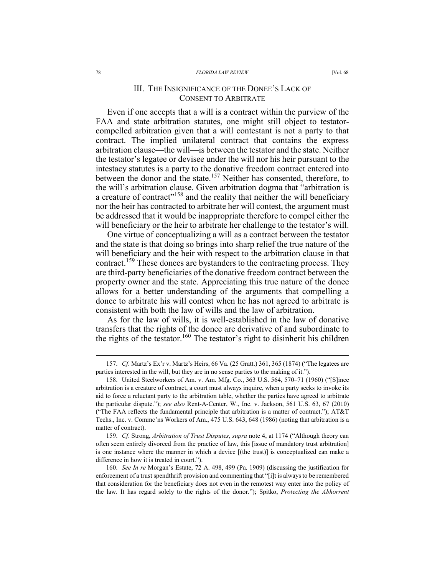#### 78 *FLORIDA LAW REVIEW* [Vol. 68

# III. THE INSIGNIFICANCE OF THE DONEE'S LACK OF CONSENT TO ARBITRATE

Even if one accepts that a will is a contract within the purview of the FAA and state arbitration statutes, one might still object to testatorcompelled arbitration given that a will contestant is not a party to that contract. The implied unilateral contract that contains the express arbitration clause—the will—is between the testator and the state. Neither the testator's legatee or devisee under the will nor his heir pursuant to the intestacy statutes is a party to the donative freedom contract entered into between the donor and the state.<sup>157</sup> Neither has consented, therefore, to the will's arbitration clause. Given arbitration dogma that "arbitration is a creature of contract"<sup>158</sup> and the reality that neither the will beneficiary nor the heir has contracted to arbitrate her will contest, the argument must be addressed that it would be inappropriate therefore to compel either the will beneficiary or the heir to arbitrate her challenge to the testator's will.

One virtue of conceptualizing a will as a contract between the testator and the state is that doing so brings into sharp relief the true nature of the will beneficiary and the heir with respect to the arbitration clause in that contract.159 These donees are bystanders to the contracting process. They are third-party beneficiaries of the donative freedom contract between the property owner and the state. Appreciating this true nature of the donee allows for a better understanding of the arguments that compelling a donee to arbitrate his will contest when he has not agreed to arbitrate is consistent with both the law of wills and the law of arbitration.

As for the law of wills, it is well-established in the law of donative transfers that the rights of the donee are derivative of and subordinate to the rights of the testator.<sup>160</sup> The testator's right to disinherit his children

 159. *Cf*. Strong, *Arbitration of Trust Disputes*, *supra* note 4, at 1174 ("Although theory can often seem entirely divorced from the practice of law, this [issue of mandatory trust arbitration] is one instance where the manner in which a device [(the trust)] is conceptualized can make a difference in how it is treated in court.").

 <sup>157.</sup> *Cf*. Martz's Ex'r v. Martz's Heirs, 66 Va. (25 Gratt.) 361, 365 (1874) ("The legatees are parties interested in the will, but they are in no sense parties to the making of it.").

 <sup>158.</sup> United Steelworkers of Am. v. Am. Mfg. Co., 363 U.S. 564, 570–71 (1960) ("[S]ince arbitration is a creature of contract, a court must always inquire, when a party seeks to invoke its aid to force a reluctant party to the arbitration table, whether the parties have agreed to arbitrate the particular dispute."); *see also* Rent-A-Center, W., Inc. v. Jackson, 561 U.S. 63, 67 (2010) ("The FAA reflects the fundamental principle that arbitration is a matter of contract."); AT&T Techs., Inc. v. Commc'ns Workers of Am., 475 U.S. 643, 648 (1986) (noting that arbitration is a matter of contract).

 <sup>160.</sup> *See In re* Morgan's Estate, 72 A. 498, 499 (Pa. 1909) (discussing the justification for enforcement of a trust spendthrift provision and commenting that "[i]t is always to be remembered that consideration for the beneficiary does not even in the remotest way enter into the policy of the law. It has regard solely to the rights of the donor."); Spitko, *Protecting the Abhorrent*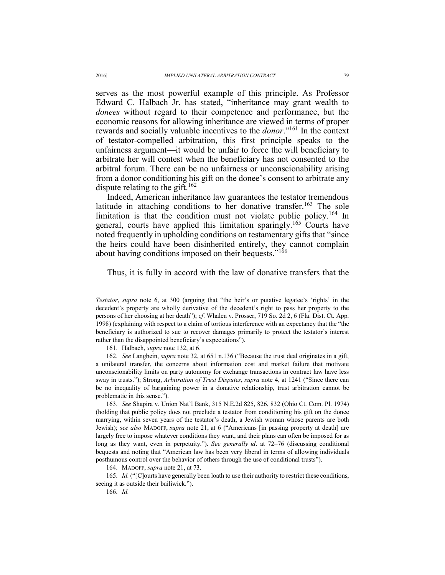serves as the most powerful example of this principle. As Professor Edward C. Halbach Jr. has stated, "inheritance may grant wealth to *donees* without regard to their competence and performance, but the economic reasons for allowing inheritance are viewed in terms of proper rewards and socially valuable incentives to the *donor*."161 In the context of testator-compelled arbitration, this first principle speaks to the unfairness argument—it would be unfair to force the will beneficiary to arbitrate her will contest when the beneficiary has not consented to the arbitral forum. There can be no unfairness or unconscionability arising from a donor conditioning his gift on the donee's consent to arbitrate any dispute relating to the gift.<sup>162</sup>

Indeed, American inheritance law guarantees the testator tremendous latitude in attaching conditions to her donative transfer.<sup>163</sup> The sole limitation is that the condition must not violate public policy.<sup>164</sup> In general, courts have applied this limitation sparingly.165 Courts have noted frequently in upholding conditions on testamentary gifts that "since the heirs could have been disinherited entirely, they cannot complain about having conditions imposed on their bequests."<sup>166</sup>

Thus, it is fully in accord with the law of donative transfers that the

161. Halbach, *supra* note 132, at 6.

 162. *See* Langbein, *supra* note 32, at 651 n.136 ("Because the trust deal originates in a gift, a unilateral transfer, the concerns about information cost and market failure that motivate unconscionability limits on party autonomy for exchange transactions in contract law have less sway in trusts."); Strong, *Arbitration of Trust Disputes*, *supra* note 4, at 1241 ("Since there can be no inequality of bargaining power in a donative relationship, trust arbitration cannot be problematic in this sense.").

 163. *See* Shapira v. Union Nat'l Bank, 315 N.E.2d 825, 826, 832 (Ohio Ct. Com. Pl. 1974) (holding that public policy does not preclude a testator from conditioning his gift on the donee marrying, within seven years of the testator's death, a Jewish woman whose parents are both Jewish); *see also* MADOFF, *supra* note 21, at 6 ("Americans [in passing property at death] are largely free to impose whatever conditions they want, and their plans can often be imposed for as long as they want, even in perpetuity."). *See generally id*. at 72–76 (discussing conditional bequests and noting that "American law has been very liberal in terms of allowing individuals posthumous control over the behavior of others through the use of conditional trusts").

164. MADOFF, *supra* note 21, at 73.

 165. *Id.* ("[C]ourts have generally been loath to use their authority to restrict these conditions, seeing it as outside their bailiwick.").

166. *Id.*

*Testator*, *supra* note 6, at 300 (arguing that "the heir's or putative legatee's 'rights' in the decedent's property are wholly derivative of the decedent's right to pass her property to the persons of her choosing at her death"); *cf*. Whalen v. Prosser, 719 So. 2d 2, 6 (Fla. Dist. Ct. App. 1998) (explaining with respect to a claim of tortious interference with an expectancy that the "the beneficiary is authorized to sue to recover damages primarily to protect the testator's interest rather than the disappointed beneficiary's expectations").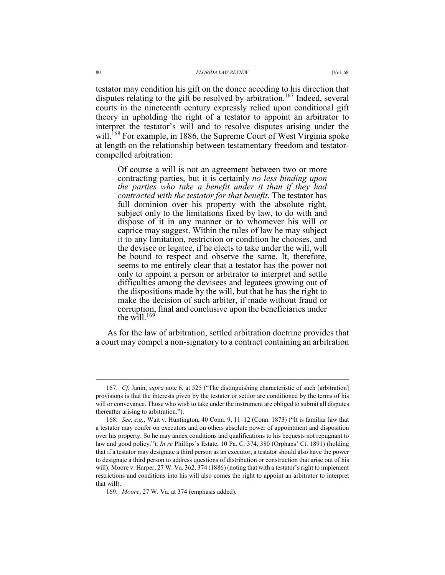testator may condition his gift on the donee acceding to his direction that disputes relating to the gift be resolved by arbitration.<sup>167</sup> Indeed, several courts in the nineteenth century expressly relied upon conditional gift theory in upholding the right of a testator to appoint an arbitrator to interpret the testator's will and to resolve disputes arising under the will.<sup>168</sup> For example, in 1886, the Supreme Court of West Virginia spoke at length on the relationship between testamentary freedom and testatorcompelled arbitration:

Of course a will is not an agreement between two or more contracting parties, but it is certainly *no less binding upon the parties who take a benefit under it than if they had contracted with the testator for that benefit*. The testator has full dominion over his property with the absolute right, subject only to the limitations fixed by law, to do with and dispose of it in any manner or to whomever his will or caprice may suggest. Within the rules of law he may subject it to any limitation, restriction or condition he chooses, and the devisee or legatee, if he elects to take under the will, will be bound to respect and observe the same. It, therefore, seems to me entirely clear that a testator has the power not only to appoint a person or arbitrator to interpret and settle difficulties among the devisees and legatees growing out of the dispositions made by the will, but that he has the right to make the decision of such arbiter, if made without fraud or corruption, final and conclusive upon the beneficiaries under the will  $^{169}$ 

As for the law of arbitration, settled arbitration doctrine provides that a court may compel a non-signatory to a contract containing an arbitration

 <sup>167.</sup> *Cf.* Janin, *supra* note 6, at 525 ("The distinguishing characteristic of such [arbitration] provisions is that the interests given by the testator or settlor are conditioned by the terms of his will or conveyance. Those who wish to take under the instrument are obliged to submit all disputes thereafter arising to arbitration.").

 <sup>168.</sup> *See, e.g.*, Wait v. Huntington, 40 Conn. 9, 11–12 (Conn. 1873) ("It is familiar law that a testator may confer on executors and on others absolute power of appointment and disposition over his property. So he may annex conditions and qualifications to his bequests not repugnant to law and good policy."); *In re* Phillips's Estate, 10 Pa. C. 374, 380 (Orphans' Ct. 1891) (holding that if a testator may designate a third person as an executor, a testator should also have the power to designate a third person to address questions of distribution or construction that arise out of his will); Moore v. Harper, 27 W. Va. 362, 374 (1886) (noting that with a testator's right to implement restrictions and conditions into his will also comes the right to appoint an arbitrator to interpret that will).

 <sup>169.</sup> *Moore*, 27 W. Va. at 374 (emphasis added).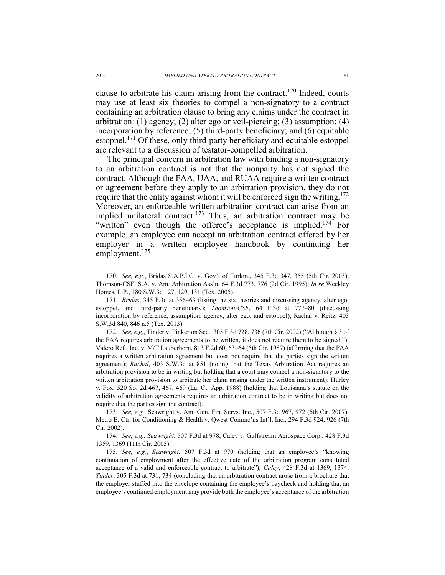clause to arbitrate his claim arising from the contract.<sup>170</sup> Indeed, courts may use at least six theories to compel a non-signatory to a contract containing an arbitration clause to bring any claims under the contract in arbitration: (1) agency; (2) alter ego or veil-piercing; (3) assumption; (4) incorporation by reference; (5) third-party beneficiary; and (6) equitable estoppel.<sup>171</sup> Of these, only third-party beneficiary and equitable estoppel are relevant to a discussion of testator-compelled arbitration.

The principal concern in arbitration law with binding a non-signatory to an arbitration contract is not that the nonparty has not signed the contract. Although the FAA, UAA, and RUAA require a written contract or agreement before they apply to an arbitration provision, they do not require that the entity against whom it will be enforced sign the writing.<sup>172</sup> Moreover, an enforceable written arbitration contract can arise from an implied unilateral contract.<sup>173</sup> Thus, an arbitration contract may be "written" even though the offeree's acceptance is implied.<sup>174</sup> For example, an employee can accept an arbitration contract offered by her employer in a written employee handbook by continuing her employment.<sup>175</sup>

 172. *See, e.g.*, Tinder v. Pinkerton Sec., 305 F.3d 728, 736 (7th Cir. 2002) ("Although § 3 of the FAA requires arbitration agreements to be written, it does not require them to be signed."); Valero Ref., Inc. v. M/T Lauberhorn, 813 F.2d 60, 63–64 (5th Cir. 1987) (affirming that the FAA requires a written arbitration agreement but does not require that the parties sign the written agreement); *Rachal*, 403 S.W.3d at 851 (noting that the Texas Arbitration Act requires an arbitration provision to be in writing but holding that a court may compel a non-signatory to the written arbitration provision to arbitrate her claim arising under the written instrument); Hurley v. Fox, 520 So. 2d 467, 467, 469 (La. Ct. App. 1988) (holding that Louisiana's statute on the validity of arbitration agreements requires an arbitration contract to be in writing but does not require that the parties sign the contract).

 173. *See, e.g.*, Seawright v. Am. Gen. Fin. Servs. Inc., 507 F.3d 967, 972 (6th Cir. 2007); Metro E. Ctr. for Conditioning & Health v. Qwest Commc'ns Int'l, Inc., 294 F.3d 924, 926 (7th Cir. 2002).

 174. *See, e.g.*, *Seawright*, 507 F.3d at 978; Caley v. Gulfstream Aerospace Corp., 428 F.3d 1359, 1369 (11th Cir. 2005).

 175. *See, e.g.*, *Seawright*, 507 F.3d at 970 (holding that an employee's "knowing continuation of employment after the effective date of the arbitration program constituted acceptance of a valid and enforceable contract to arbitrate"); *Caley*, 428 F.3d at 1369, 1374; *Tinder*, 305 F.3d at 731, 734 (concluding that an arbitration contract arose from a brochure that the employer stuffed into the envelope containing the employee's paycheck and holding that an employee's continued employment may provide both the employee's acceptance of the arbitration

 <sup>170.</sup> *See, e.g.*, Bridas S.A.P.I.C. v. Gov't of Turkm., 345 F.3d 347, 355 (5th Cir. 2003); Thomson-CSF, S.A. v. Am. Arbitration Ass'n, 64 F.3d 773, 776 (2d Cir. 1995); *In re* Weekley Homes, L.P., 180 S.W.3d 127, 129, 131 (Tex. 2005).

 <sup>171.</sup> *Bridas*, 345 F.3d at 356–63 (listing the six theories and discussing agency, alter ego, estoppel, and third-party beneficiary); *Thomson-CSF*, 64 F.3d at 777–80 (discussing incorporation by reference, assumption, agency, alter ego, and estoppel); Rachal v. Reitz, 403 S.W.3d 840, 846 n.5 (Tex. 2013).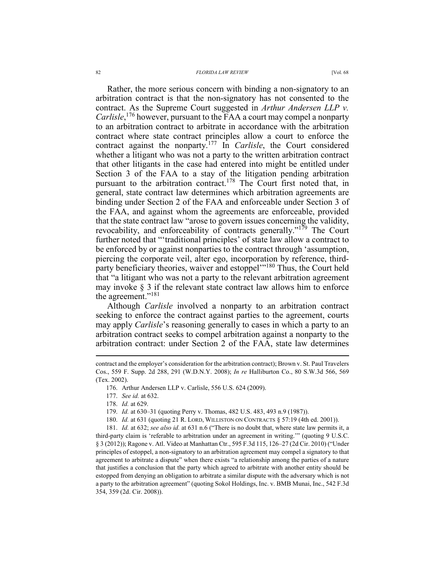Rather, the more serious concern with binding a non-signatory to an arbitration contract is that the non-signatory has not consented to the contract. As the Supreme Court suggested in *Arthur Andersen LLP v. Carlisle*, 176 however, pursuant to the FAA a court may compel a nonparty to an arbitration contract to arbitrate in accordance with the arbitration contract where state contract principles allow a court to enforce the contract against the nonparty.177 In *Carlisle*, the Court considered whether a litigant who was not a party to the written arbitration contract that other litigants in the case had entered into might be entitled under Section 3 of the FAA to a stay of the litigation pending arbitration pursuant to the arbitration contract.<sup>178</sup> The Court first noted that, in general, state contract law determines which arbitration agreements are binding under Section 2 of the FAA and enforceable under Section 3 of the FAA, and against whom the agreements are enforceable, provided that the state contract law "arose to govern issues concerning the validity, revocability, and enforceability of contracts generally."179 The Court further noted that "'traditional principles' of state law allow a contract to be enforced by or against nonparties to the contract through 'assumption, piercing the corporate veil, alter ego, incorporation by reference, thirdparty beneficiary theories, waiver and estoppel<sup>1180</sup> Thus, the Court held that "a litigant who was not a party to the relevant arbitration agreement may invoke  $\S$  3 if the relevant state contract law allows him to enforce the agreement."181

Although *Carlisle* involved a nonparty to an arbitration contract seeking to enforce the contract against parties to the agreement, courts may apply *Carlisle*'s reasoning generally to cases in which a party to an arbitration contract seeks to compel arbitration against a nonparty to the arbitration contract: under Section 2 of the FAA, state law determines

- 176. Arthur Andersen LLP v. Carlisle, 556 U.S. 624 (2009).
- 177. *See id.* at 632.
- 178. *Id.* at 629.

 $\overline{a}$ 

- 179. *Id.* at 630–31 (quoting Perry v. Thomas, 482 U.S. 483, 493 n.9 (1987)).
- 180. *Id.* at 631 (quoting 21 R. LORD, WILLISTON ON CONTRACTS § 57:19 (4th ed. 2001)).

 181. *Id.* at 632; *see also id.* at 631 n.6 ("There is no doubt that, where state law permits it, a third-party claim is 'referable to arbitration under an agreement in writing.'" (quoting 9 U.S.C. § 3 (2012)); Ragone v. Atl. Video at Manhattan Ctr., 595 F.3d 115, 126–27 (2d Cir. 2010) ("Under principles of estoppel, a non-signatory to an arbitration agreement may compel a signatory to that agreement to arbitrate a dispute" when there exists "a relationship among the parties of a nature that justifies a conclusion that the party which agreed to arbitrate with another entity should be estopped from denying an obligation to arbitrate a similar dispute with the adversary which is not a party to the arbitration agreement" (quoting Sokol Holdings, Inc. v. BMB Munai, Inc., 542 F.3d 354, 359 (2d. Cir. 2008)).

contract and the employer's consideration for the arbitration contract); Brown v. St. Paul Travelers Cos., 559 F. Supp. 2d 288, 291 (W.D.N.Y. 2008); *In re* Halliburton Co., 80 S.W.3d 566, 569 (Tex. 2002).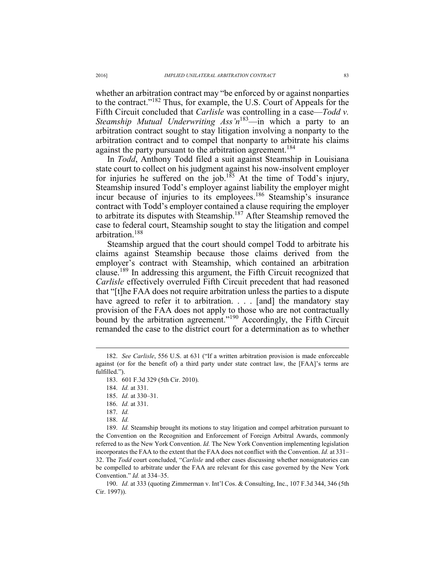whether an arbitration contract may "be enforced by or against nonparties to the contract."182 Thus, for example, the U.S. Court of Appeals for the Fifth Circuit concluded that *Carlisle* was controlling in a case—*Todd v. Steamship Mutual Underwriting Ass'n*183—in which a party to an arbitration contract sought to stay litigation involving a nonparty to the arbitration contract and to compel that nonparty to arbitrate his claims against the party pursuant to the arbitration agreement.<sup>184</sup>

In *Todd*, Anthony Todd filed a suit against Steamship in Louisiana state court to collect on his judgment against his now-insolvent employer for injuries he suffered on the job.<sup>185</sup> At the time of Todd's injury, Steamship insured Todd's employer against liability the employer might incur because of injuries to its employees.186 Steamship's insurance contract with Todd's employer contained a clause requiring the employer to arbitrate its disputes with Steamship.187 After Steamship removed the case to federal court, Steamship sought to stay the litigation and compel arbitration.<sup>188</sup>

Steamship argued that the court should compel Todd to arbitrate his claims against Steamship because those claims derived from the employer's contract with Steamship, which contained an arbitration clause.189 In addressing this argument, the Fifth Circuit recognized that *Carlisle* effectively overruled Fifth Circuit precedent that had reasoned that "[t]he FAA does not require arbitration unless the parties to a dispute have agreed to refer it to arbitration. . . . [and] the mandatory stay provision of the FAA does not apply to those who are not contractually bound by the arbitration agreement."<sup>190</sup> Accordingly, the Fifth Circuit remanded the case to the district court for a determination as to whether

185. *Id.* at 330–31.

 $\overline{a}$ 

 190. *Id.* at 333 (quoting Zimmerman v. Int'l Cos. & Consulting, Inc., 107 F.3d 344, 346 (5th Cir. 1997)).

 <sup>182.</sup> *See Carlisle*, 556 U.S. at 631 ("If a written arbitration provision is made enforceable against (or for the benefit of) a third party under state contract law, the [FAA]'s terms are fulfilled.").

 <sup>183. 601</sup> F.3d 329 (5th Cir. 2010).

 <sup>184.</sup> *Id.* at 331.

 <sup>186.</sup> *Id.* at 331.

 <sup>187.</sup> *Id.*

 <sup>188.</sup> *Id.*

 <sup>189.</sup> *Id.* Steamship brought its motions to stay litigation and compel arbitration pursuant to the Convention on the Recognition and Enforcement of Foreign Arbitral Awards, commonly referred to as the New York Convention. *Id.* The New York Convention implementing legislation incorporates the FAA to the extent that the FAA does not conflict with the Convention. *Id.* at 331– 32. The *Todd* court concluded, "*Carlisle* and other cases discussing whether nonsignatories can be compelled to arbitrate under the FAA are relevant for this case governed by the New York Convention." *Id.* at 334–35.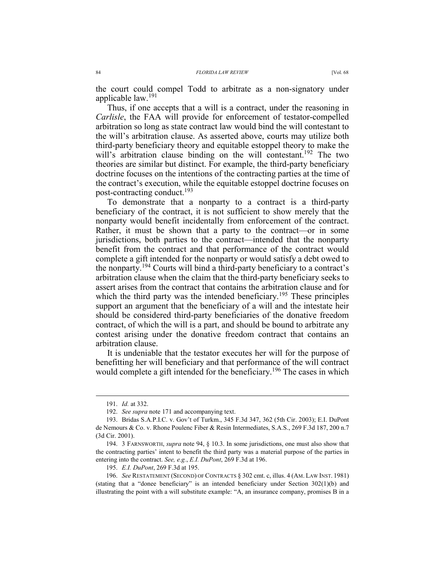the court could compel Todd to arbitrate as a non-signatory under applicable law.<sup>191</sup>

Thus, if one accepts that a will is a contract, under the reasoning in *Carlisle*, the FAA will provide for enforcement of testator-compelled arbitration so long as state contract law would bind the will contestant to the will's arbitration clause. As asserted above, courts may utilize both third-party beneficiary theory and equitable estoppel theory to make the will's arbitration clause binding on the will contestant.<sup>192</sup> The two theories are similar but distinct. For example, the third-party beneficiary doctrine focuses on the intentions of the contracting parties at the time of the contract's execution, while the equitable estoppel doctrine focuses on post-contracting conduct.193

To demonstrate that a nonparty to a contract is a third-party beneficiary of the contract, it is not sufficient to show merely that the nonparty would benefit incidentally from enforcement of the contract. Rather, it must be shown that a party to the contract—or in some jurisdictions, both parties to the contract—intended that the nonparty benefit from the contract and that performance of the contract would complete a gift intended for the nonparty or would satisfy a debt owed to the nonparty.194 Courts will bind a third-party beneficiary to a contract's arbitration clause when the claim that the third-party beneficiary seeks to assert arises from the contract that contains the arbitration clause and for which the third party was the intended beneficiary.<sup>195</sup> These principles support an argument that the beneficiary of a will and the intestate heir should be considered third-party beneficiaries of the donative freedom contract, of which the will is a part, and should be bound to arbitrate any contest arising under the donative freedom contract that contains an arbitration clause.

It is undeniable that the testator executes her will for the purpose of benefitting her will beneficiary and that performance of the will contract would complete a gift intended for the beneficiary.<sup>196</sup> The cases in which

 <sup>191.</sup> *Id.* at 332.

 <sup>192.</sup> *See supra* note 171 and accompanying text.

 <sup>193.</sup> Bridas S.A.P.I.C. v. Gov't of Turkm., 345 F.3d 347, 362 (5th Cir. 2003); E.I. DuPont de Nemours & Co. v. Rhone Poulenc Fiber & Resin Intermediates, S.A.S., 269 F.3d 187, 200 n.7 (3d Cir. 2001).

 <sup>194. 3</sup> FARNSWORTH, *supra* note 94, § 10.3. In some jurisdictions, one must also show that the contracting parties' intent to benefit the third party was a material purpose of the parties in entering into the contract. *See, e.g.*, *E.I. DuPont*, 269 F.3d at 196.

 <sup>195.</sup> *E.I. DuPont*, 269 F.3d at 195.

 <sup>196.</sup> *See* RESTATEMENT (SECOND) OF CONTRACTS § 302 cmt. c, illus. 4 (AM. LAW INST. 1981) (stating that a "donee beneficiary" is an intended beneficiary under Section  $302(1)(b)$  and illustrating the point with a will substitute example: "A, an insurance company, promises B in a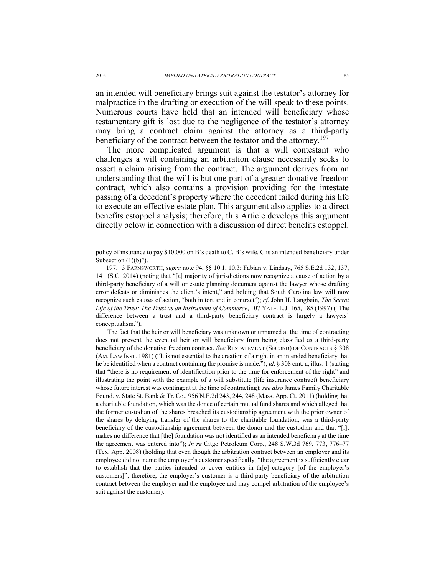an intended will beneficiary brings suit against the testator's attorney for malpractice in the drafting or execution of the will speak to these points. Numerous courts have held that an intended will beneficiary whose testamentary gift is lost due to the negligence of the testator's attorney may bring a contract claim against the attorney as a third-party beneficiary of the contract between the testator and the attorney.<sup>197</sup>

The more complicated argument is that a will contestant who challenges a will containing an arbitration clause necessarily seeks to assert a claim arising from the contract. The argument derives from an understanding that the will is but one part of a greater donative freedom contract, which also contains a provision providing for the intestate passing of a decedent's property where the decedent failed during his life to execute an effective estate plan. This argument also applies to a direct benefits estoppel analysis; therefore, this Article develops this argument directly below in connection with a discussion of direct benefits estoppel.

The fact that the heir or will beneficiary was unknown or unnamed at the time of contracting does not prevent the eventual heir or will beneficiary from being classified as a third-party beneficiary of the donative freedom contract. *See* RESTATEMENT (SECOND) OF CONTRACTS § 308 (AM. LAW INST. 1981) ("It is not essential to the creation of a right in an intended beneficiary that he be identified when a contract containing the promise is made."); *id*. § 308 cmt. a, illus. 1 (stating that "there is no requirement of identification prior to the time for enforcement of the right" and illustrating the point with the example of a will substitute (life insurance contract) beneficiary whose future interest was contingent at the time of contracting); *see also* James Family Charitable Found. v. State St. Bank & Tr. Co., 956 N.E.2d 243, 244, 248 (Mass. App. Ct. 2011) (holding that a charitable foundation, which was the donee of certain mutual fund shares and which alleged that the former custodian of the shares breached its custodianship agreement with the prior owner of the shares by delaying transfer of the shares to the charitable foundation, was a third-party beneficiary of the custodianship agreement between the donor and the custodian and that "[i]t makes no difference that [the] foundation was not identified as an intended beneficiary at the time the agreement was entered into"); *In re* Citgo Petroleum Corp., 248 S.W.3d 769, 773, 776–77 (Tex. App. 2008) (holding that even though the arbitration contract between an employer and its employee did not name the employer's customer specifically, "the agreement is sufficiently clear to establish that the parties intended to cover entities in th[e] category [of the employer's customers]"; therefore, the employer's customer is a third-party beneficiary of the arbitration contract between the employer and the employee and may compel arbitration of the employee's suit against the customer).

policy of insurance to pay \$10,000 on B's death to C, B's wife. C is an intended beneficiary under Subsection  $(1)(b)$ ").

 <sup>197. 3</sup> FARNSWORTH, *supra* note 94, §§ 10.1, 10.3; Fabian v. Lindsay, 765 S.E.2d 132, 137, 141 (S.C. 2014) (noting that "[a] majority of jurisdictions now recognize a cause of action by a third-party beneficiary of a will or estate planning document against the lawyer whose drafting error defeats or diminishes the client's intent," and holding that South Carolina law will now recognize such causes of action, "both in tort and in contract"); *cf*. John H. Langbein, *The Secret Life of the Trust: The Trust as an Instrument of Commerce*, 107 YALE. L.J. 165, 185 (1997) ("The difference between a trust and a third-party beneficiary contract is largely a lawyers' conceptualism.").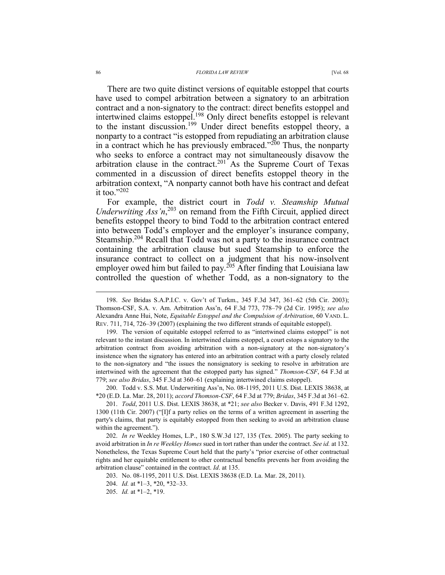There are two quite distinct versions of equitable estoppel that courts have used to compel arbitration between a signatory to an arbitration contract and a non-signatory to the contract: direct benefits estoppel and intertwined claims estoppel.<sup>198</sup> Only direct benefits estoppel is relevant to the instant discussion.199 Under direct benefits estoppel theory, a nonparty to a contract "is estopped from repudiating an arbitration clause in a contract which he has previously embraced."<sup>200</sup> Thus, the nonparty who seeks to enforce a contract may not simultaneously disavow the arbitration clause in the contract.<sup>201</sup> As the Supreme Court of Texas commented in a discussion of direct benefits estoppel theory in the arbitration context, "A nonparty cannot both have his contract and defeat it too." $202$ 

For example, the district court in *Todd v. Steamship Mutual Underwriting Ass'n*, 203 on remand from the Fifth Circuit, applied direct benefits estoppel theory to bind Todd to the arbitration contract entered into between Todd's employer and the employer's insurance company, Steamship.<sup>204</sup> Recall that Todd was not a party to the insurance contract containing the arbitration clause but sued Steamship to enforce the insurance contract to collect on a judgment that his now-insolvent employer owed him but failed to pay.<sup>205</sup> After finding that Louisiana law controlled the question of whether Todd, as a non-signatory to the

 199. The version of equitable estoppel referred to as "intertwined claims estoppel" is not relevant to the instant discussion. In intertwined claims estoppel, a court estops a signatory to the arbitration contract from avoiding arbitration with a non-signatory at the non-signatory's insistence when the signatory has entered into an arbitration contract with a party closely related to the non-signatory and "the issues the nonsignatory is seeking to resolve in arbitration are intertwined with the agreement that the estopped party has signed." *Thomson-CSF*, 64 F.3d at 779; *see also Bridas*, 345 F.3d at 360–61 (explaining intertwined claims estoppel).

 200. Todd v. S.S. Mut. Underwriting Ass'n, No. 08-1195, 2011 U.S. Dist. LEXIS 38638, at \*20 (E.D. La. Mar. 28, 2011); *accord Thomson-CSF*, 64 F.3d at 779; *Bridas*, 345 F.3d at 361–62.

 201. *Todd*, 2011 U.S. Dist. LEXIS 38638, at \*21; *see also* Becker v. Davis, 491 F.3d 1292, 1300 (11th Cir. 2007) ("[I]f a party relies on the terms of a written agreement in asserting the party's claims, that party is equitably estopped from then seeking to avoid an arbitration clause within the agreement.").

 202. *In re* Weekley Homes, L.P., 180 S.W.3d 127, 135 (Tex. 2005). The party seeking to avoid arbitration in *In re Weekley Homes* sued in tort rather than under the contract. *See id.* at 132. Nonetheless, the Texas Supreme Court held that the party's "prior exercise of other contractual rights and her equitable entitlement to other contractual benefits prevents her from avoiding the arbitration clause" contained in the contract. *Id*. at 135.

203. No. 08-1195, 2011 U.S. Dist. LEXIS 38638 (E.D. La. Mar. 28, 2011).

204. *Id.* at \*1–3, \*20, \*32–33.

 <sup>198.</sup> *See* Bridas S.A.P.I.C. v. Gov't of Turkm., 345 F.3d 347, 361–62 (5th Cir. 2003); Thomson-CSF, S.A. v. Am. Arbitration Ass'n, 64 F.3d 773, 778–79 (2d Cir. 1995); *see also* Alexandra Anne Hui, Note, *Equitable Estoppel and the Compulsion of Arbitration*, 60 VAND. L. REV. 711, 714, 726–39 (2007) (explaining the two different strands of equitable estoppel).

 <sup>205.</sup> *Id.* at \*1–2, \*19.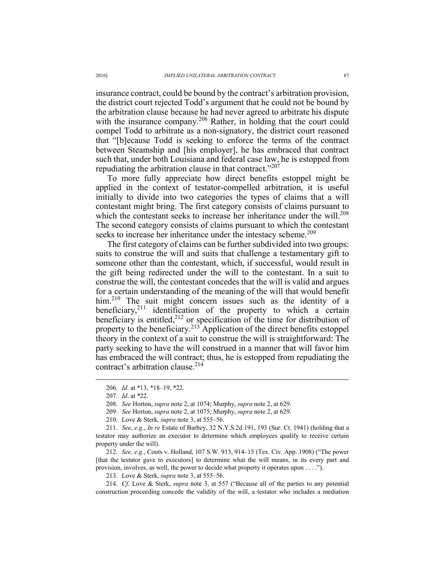insurance contract, could be bound by the contract's arbitration provision, the district court rejected Todd's argument that he could not be bound by the arbitration clause because he had never agreed to arbitrate his dispute with the insurance company.<sup>206</sup> Rather, in holding that the court could compel Todd to arbitrate as a non-signatory, the district court reasoned that "[b]ecause Todd is seeking to enforce the terms of the contract between Steamship and [his employer], he has embraced that contract such that, under both Louisiana and federal case law, he is estopped from repudiating the arbitration clause in that contract."<sup>207</sup>

To more fully appreciate how direct benefits estoppel might be applied in the context of testator-compelled arbitration, it is useful initially to divide into two categories the types of claims that a will contestant might bring. The first category consists of claims pursuant to which the contestant seeks to increase her inheritance under the will.<sup>208</sup> The second category consists of claims pursuant to which the contestant seeks to increase her inheritance under the intestacy scheme.<sup>209</sup>

The first category of claims can be further subdivided into two groups: suits to construe the will and suits that challenge a testamentary gift to someone other than the contestant, which, if successful, would result in the gift being redirected under the will to the contestant. In a suit to construe the will, the contestant concedes that the will is valid and argues for a certain understanding of the meaning of the will that would benefit him.<sup>210</sup> The suit might concern issues such as the identity of a beneficiary,<sup>211</sup> identification of the property to which a certain beneficiary is entitled, $2^{12}$  or specification of the time for distribution of property to the beneficiary.<sup>213</sup> Application of the direct benefits estoppel theory in the context of a suit to construe the will is straightforward: The party seeking to have the will construed in a manner that will favor him has embraced the will contract; thus, he is estopped from repudiating the contract's arbitration clause.214

 $\overline{a}$ 

 212. *See, e.g.*, Couts v. Holland, 107 S.W. 913, 914–15 (Tex. Civ. App. 1908) ("The power [that the testator gave to executors] to determine what the will means, in its every part and provision, involves, as well, the power to decide what property it operates upon . . . .").

213. Love & Sterk, *supra* note 3, at 555–56.

 214. *Cf*. Love & Sterk, *supra* note 3, at 557 ("Because all of the parties to any potential construction proceeding concede the validity of the will, a testator who includes a mediation

 <sup>206.</sup> *Id.* at \*13, \*18–19, \*22.

 <sup>207.</sup> *Id*. at \*22.

 <sup>208.</sup> *See* Horton, *supra* note 2, at 1074; Murphy, *supra* note 2, at 629.

 <sup>209.</sup> *See* Horton, *supra* note 2, at 1075; Murphy, *supra* note 2, at 629.

 <sup>210.</sup> Love & Sterk*, supra* note 3, at 555–56.

 <sup>211.</sup> *See*, *e.g*., *In re* Estate of Barbey, 32 N.Y.S.2d 191, 193 (Sur. Ct. 1941) (holding that a testator may authorize an executor to determine which employees qualify to receive certain property under the will).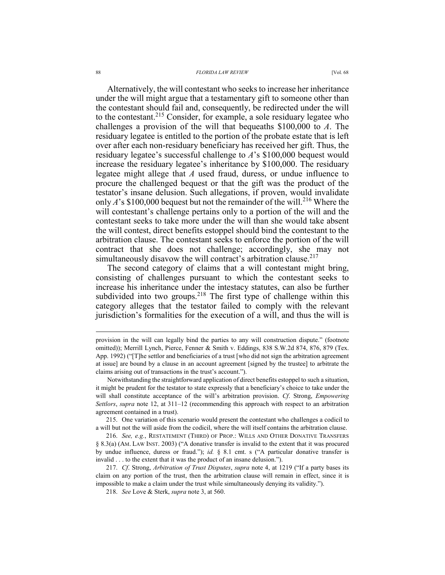Alternatively, the will contestant who seeks to increase her inheritance under the will might argue that a testamentary gift to someone other than the contestant should fail and, consequently, be redirected under the will to the contestant.215 Consider, for example, a sole residuary legatee who challenges a provision of the will that bequeaths \$100,000 to *A*. The residuary legatee is entitled to the portion of the probate estate that is left over after each non-residuary beneficiary has received her gift. Thus, the residuary legatee's successful challenge to *A*'s \$100,000 bequest would increase the residuary legatee's inheritance by \$100,000. The residuary legatee might allege that *A* used fraud, duress, or undue influence to procure the challenged bequest or that the gift was the product of the testator's insane delusion. Such allegations, if proven, would invalidate only  $A$ 's \$100,000 bequest but not the remainder of the will.<sup>216</sup> Where the will contestant's challenge pertains only to a portion of the will and the contestant seeks to take more under the will than she would take absent the will contest, direct benefits estoppel should bind the contestant to the arbitration clause. The contestant seeks to enforce the portion of the will contract that she does not challenge; accordingly, she may not simultaneously disavow the will contract's arbitration clause.<sup>217</sup>

The second category of claims that a will contestant might bring, consisting of challenges pursuant to which the contestant seeks to increase his inheritance under the intestacy statutes, can also be further subdivided into two groups.<sup>218</sup> The first type of challenge within this category alleges that the testator failed to comply with the relevant jurisdiction's formalities for the execution of a will, and thus the will is

 215. One variation of this scenario would present the contestant who challenges a codicil to a will but not the will aside from the codicil, where the will itself contains the arbitration clause.

 216. *See, e.g.*, RESTATEMENT (THIRD) OF PROP.: WILLS AND OTHER DONATIVE TRANSFERS § 8.3(a) (AM. LAW INST. 2003) ("A donative transfer is invalid to the extent that it was procured by undue influence, duress or fraud."); *id.* § 8.1 cmt. s ("A particular donative transfer is invalid . . . to the extent that it was the product of an insane delusion.").

 217. *Cf*. Strong, *Arbitration of Trust Disputes*, *supra* note 4, at 1219 ("If a party bases its claim on any portion of the trust, then the arbitration clause will remain in effect, since it is impossible to make a claim under the trust while simultaneously denying its validity.").

218. *See* Love & Sterk, *supra* note 3, at 560.

provision in the will can legally bind the parties to any will construction dispute." (footnote omitted)); Merrill Lynch, Pierce, Fenner & Smith v. Eddings, 838 S.W.2d 874, 876, 879 (Tex. App. 1992) ("[T]he settlor and beneficiaries of a trust [who did not sign the arbitration agreement at issue] are bound by a clause in an account agreement [signed by the trustee] to arbitrate the claims arising out of transactions in the trust's account.").

Notwithstanding the straightforward application of direct benefits estoppel to such a situation, it might be prudent for the testator to state expressly that a beneficiary's choice to take under the will shall constitute acceptance of the will's arbitration provision. *Cf*. Strong, *Empowering Settlors*, *supra* note 12, at 311–12 (recommending this approach with respect to an arbitration agreement contained in a trust).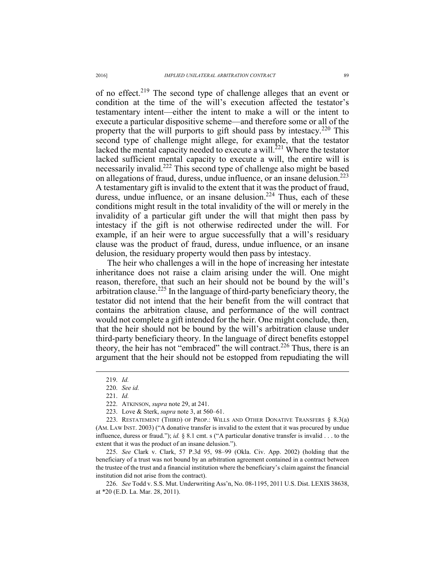of no effect.<sup>219</sup> The second type of challenge alleges that an event or condition at the time of the will's execution affected the testator's testamentary intent—either the intent to make a will or the intent to execute a particular dispositive scheme—and therefore some or all of the property that the will purports to gift should pass by intestacy.220 This second type of challenge might allege, for example, that the testator lacked the mental capacity needed to execute a will.<sup>221</sup> Where the testator lacked sufficient mental capacity to execute a will, the entire will is necessarily invalid.222 This second type of challenge also might be based on allegations of fraud, duress, undue influence, or an insane delusion.<sup>223</sup> A testamentary gift is invalid to the extent that it was the product of fraud, duress, undue influence, or an insane delusion.<sup>224</sup> Thus, each of these conditions might result in the total invalidity of the will or merely in the invalidity of a particular gift under the will that might then pass by intestacy if the gift is not otherwise redirected under the will. For example, if an heir were to argue successfully that a will's residuary clause was the product of fraud, duress, undue influence, or an insane delusion, the residuary property would then pass by intestacy.

The heir who challenges a will in the hope of increasing her intestate inheritance does not raise a claim arising under the will. One might reason, therefore, that such an heir should not be bound by the will's arbitration clause.<sup>225</sup> In the language of third-party beneficiary theory, the testator did not intend that the heir benefit from the will contract that contains the arbitration clause, and performance of the will contract would not complete a gift intended for the heir. One might conclude, then, that the heir should not be bound by the will's arbitration clause under third-party beneficiary theory. In the language of direct benefits estoppel theory, the heir has not "embraced" the will contract.<sup>226</sup> Thus, there is an argument that the heir should not be estopped from repudiating the will

 $\overline{a}$ 

221. *Id.* 

223. Love & Sterk, *supra* note 3, at 560–61.

 225. *See* Clark v. Clark, 57 P.3d 95, 98–99 (Okla. Civ. App. 2002) (holding that the beneficiary of a trust was not bound by an arbitration agreement contained in a contract between the trustee of the trust and a financial institution where the beneficiary's claim against the financial institution did not arise from the contract).

 226. *See* Todd v. S.S. Mut. Underwriting Ass'n, No. 08-1195, 2011 U.S. Dist. LEXIS 38638, at \*20 (E.D. La. Mar. 28, 2011).

 <sup>219.</sup> *Id.*

 <sup>220.</sup> *See id.* 

 <sup>222.</sup> ATKINSON, *supra* note 29, at 241.

 <sup>223.</sup> RESTATEMENT (THIRD) OF PROP.: WILLS AND OTHER DONATIVE TRANSFERS § 8.3(a) (AM. LAW INST. 2003) ("A donative transfer is invalid to the extent that it was procured by undue influence, duress or fraud."); *id.* § 8.1 cmt. s ("A particular donative transfer is invalid . . . to the extent that it was the product of an insane delusion.").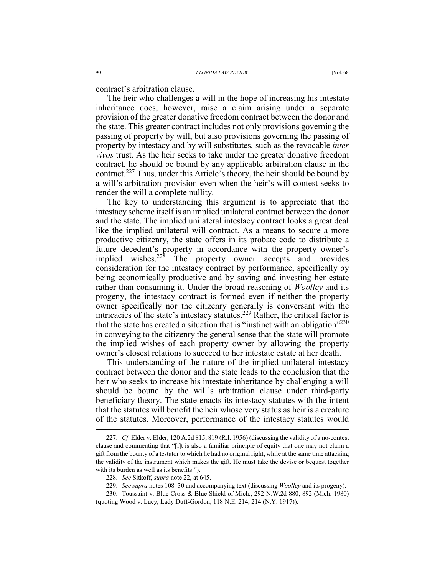contract's arbitration clause.

The heir who challenges a will in the hope of increasing his intestate inheritance does, however, raise a claim arising under a separate provision of the greater donative freedom contract between the donor and the state. This greater contract includes not only provisions governing the passing of property by will, but also provisions governing the passing of property by intestacy and by will substitutes, such as the revocable *inter vivos* trust. As the heir seeks to take under the greater donative freedom contract, he should be bound by any applicable arbitration clause in the contract.227 Thus, under this Article's theory, the heir should be bound by a will's arbitration provision even when the heir's will contest seeks to render the will a complete nullity.

The key to understanding this argument is to appreciate that the intestacy scheme itself is an implied unilateral contract between the donor and the state. The implied unilateral intestacy contract looks a great deal like the implied unilateral will contract. As a means to secure a more productive citizenry, the state offers in its probate code to distribute a future decedent's property in accordance with the property owner's implied wishes. $228$  The property owner accepts and provides consideration for the intestacy contract by performance, specifically by being economically productive and by saving and investing her estate rather than consuming it. Under the broad reasoning of *Woolley* and its progeny, the intestacy contract is formed even if neither the property owner specifically nor the citizenry generally is conversant with the intricacies of the state's intestacy statutes.<sup>229</sup> Rather, the critical factor is that the state has created a situation that is "instinct with an obligation"<sup>230</sup> in conveying to the citizenry the general sense that the state will promote the implied wishes of each property owner by allowing the property owner's closest relations to succeed to her intestate estate at her death.

This understanding of the nature of the implied unilateral intestacy contract between the donor and the state leads to the conclusion that the heir who seeks to increase his intestate inheritance by challenging a will should be bound by the will's arbitration clause under third-party beneficiary theory. The state enacts its intestacy statutes with the intent that the statutes will benefit the heir whose very status as heir is a creature of the statutes. Moreover, performance of the intestacy statutes would

 <sup>227.</sup> *Cf*. Elder v. Elder, 120 A.2d 815, 819 (R.I. 1956) (discussing the validity of a no-contest clause and commenting that "[i]t is also a familiar principle of equity that one may not claim a gift from the bounty of a testator to which he had no original right, while at the same time attacking the validity of the instrument which makes the gift. He must take the devise or bequest together with its burden as well as its benefits.").

 <sup>228.</sup> *See* Sitkoff, *supra* note 22, at 645.

 <sup>229.</sup> *See supra* notes 108–30 and accompanying text (discussing *Woolley* and its progeny).

 <sup>230.</sup> Toussaint v. Blue Cross & Blue Shield of Mich., 292 N.W.2d 880, 892 (Mich. 1980) (quoting Wood v. Lucy, Lady Duff-Gordon, 118 N.E. 214, 214 (N.Y. 1917)).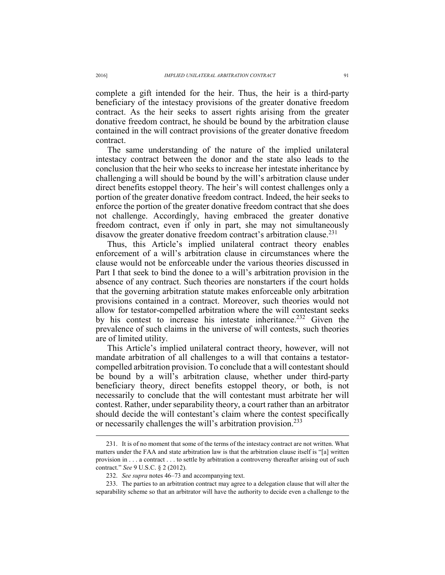complete a gift intended for the heir. Thus, the heir is a third-party beneficiary of the intestacy provisions of the greater donative freedom contract. As the heir seeks to assert rights arising from the greater donative freedom contract, he should be bound by the arbitration clause contained in the will contract provisions of the greater donative freedom contract.

The same understanding of the nature of the implied unilateral intestacy contract between the donor and the state also leads to the conclusion that the heir who seeks to increase her intestate inheritance by challenging a will should be bound by the will's arbitration clause under direct benefits estoppel theory. The heir's will contest challenges only a portion of the greater donative freedom contract. Indeed, the heir seeks to enforce the portion of the greater donative freedom contract that she does not challenge. Accordingly, having embraced the greater donative freedom contract, even if only in part, she may not simultaneously disavow the greater donative freedom contract's arbitration clause.<sup>231</sup>

Thus, this Article's implied unilateral contract theory enables enforcement of a will's arbitration clause in circumstances where the clause would not be enforceable under the various theories discussed in Part I that seek to bind the donee to a will's arbitration provision in the absence of any contract. Such theories are nonstarters if the court holds that the governing arbitration statute makes enforceable only arbitration provisions contained in a contract. Moreover, such theories would not allow for testator-compelled arbitration where the will contestant seeks by his contest to increase his intestate inheritance.<sup>232</sup> Given the prevalence of such claims in the universe of will contests, such theories are of limited utility.

This Article's implied unilateral contract theory, however, will not mandate arbitration of all challenges to a will that contains a testatorcompelled arbitration provision. To conclude that a will contestant should be bound by a will's arbitration clause, whether under third-party beneficiary theory, direct benefits estoppel theory, or both, is not necessarily to conclude that the will contestant must arbitrate her will contest. Rather, under separability theory, a court rather than an arbitrator should decide the will contestant's claim where the contest specifically or necessarily challenges the will's arbitration provision.<sup>233</sup>

 <sup>231.</sup> It is of no moment that some of the terms of the intestacy contract are not written. What matters under the FAA and state arbitration law is that the arbitration clause itself is "[a] written provision in . . . a contract . . . to settle by arbitration a controversy thereafter arising out of such contract." *See* 9 U.S.C. § 2 (2012).

 <sup>232.</sup> *See supra* notes 46–73 and accompanying text.

 <sup>233.</sup> The parties to an arbitration contract may agree to a delegation clause that will alter the separability scheme so that an arbitrator will have the authority to decide even a challenge to the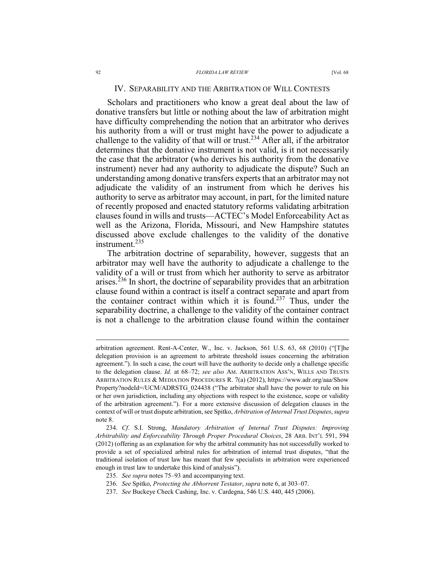Scholars and practitioners who know a great deal about the law of donative transfers but little or nothing about the law of arbitration might have difficulty comprehending the notion that an arbitrator who derives his authority from a will or trust might have the power to adjudicate a challenge to the validity of that will or trust.<sup>234</sup> After all, if the arbitrator determines that the donative instrument is not valid, is it not necessarily the case that the arbitrator (who derives his authority from the donative instrument) never had any authority to adjudicate the dispute? Such an understanding among donative transfers experts that an arbitrator may not adjudicate the validity of an instrument from which he derives his authority to serve as arbitrator may account, in part, for the limited nature of recently proposed and enacted statutory reforms validating arbitration clauses found in wills and trusts—ACTEC's Model Enforceability Act as well as the Arizona, Florida, Missouri, and New Hampshire statutes discussed above exclude challenges to the validity of the donative instrument.235

The arbitration doctrine of separability, however, suggests that an arbitrator may well have the authority to adjudicate a challenge to the validity of a will or trust from which her authority to serve as arbitrator arises.<sup>236</sup> In short, the doctrine of separability provides that an arbitration clause found within a contract is itself a contract separate and apart from the container contract within which it is found.<sup>237</sup> Thus, under the separability doctrine, a challenge to the validity of the container contract is not a challenge to the arbitration clause found within the container

235. *See supra* notes 75–93 and accompanying text.

arbitration agreement. Rent-A-Center, W., Inc. v. Jackson, 561 U.S. 63, 68 (2010) ("[T]he delegation provision is an agreement to arbitrate threshold issues concerning the arbitration agreement."). In such a case, the court will have the authority to decide only a challenge specific to the delegation clause. *Id.* at 68–72; *see also* AM. ARBITRATION ASS'N, WILLS AND TRUSTS ARBITRATION RULES & MEDIATION PROCEDURES R. 7(a) (2012), https://www.adr.org/aaa/Show Property?nodeId=/UCM/ADRSTG\_024438 ("The arbitrator shall have the power to rule on his or her own jurisdiction, including any objections with respect to the existence, scope or validity of the arbitration agreement."). For a more extensive discussion of delegation clauses in the context of will or trust dispute arbitration, see Spitko, *Arbitration of Internal Trust Disputes*, *supra* note 8.

 <sup>234.</sup> *Cf*. S.I. Strong, *Mandatory Arbitration of Internal Trust Disputes: Improving Arbitrability and Enforceability Through Proper Procedural Choices*, 28 ARB. INT'L 591, 594 (2012) (offering as an explanation for why the arbitral community has not successfully worked to provide a set of specialized arbitral rules for arbitration of internal trust disputes, "that the traditional isolation of trust law has meant that few specialists in arbitration were experienced enough in trust law to undertake this kind of analysis").

 <sup>236.</sup> *See* Spitko, *Protecting the Abhorrent Testator*, *supra* note 6, at 303–07.

 <sup>237.</sup> *See* Buckeye Check Cashing, Inc. v. Cardegna, 546 U.S. 440, 445 (2006).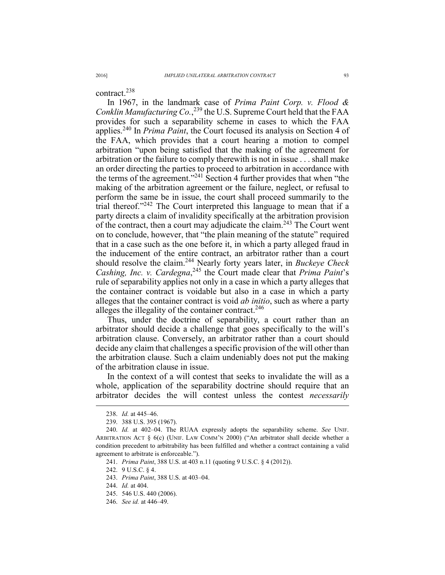contract.<sup>238</sup>

In 1967, in the landmark case of *Prima Paint Corp. v. Flood & Conklin Manufacturing Co.*, 239 the U.S. Supreme Court held that the FAA provides for such a separability scheme in cases to which the FAA applies.240 In *Prima Paint*, the Court focused its analysis on Section 4 of the FAA, which provides that a court hearing a motion to compel arbitration "upon being satisfied that the making of the agreement for arbitration or the failure to comply therewith is not in issue . . . shall make an order directing the parties to proceed to arbitration in accordance with the terms of the agreement."241 Section 4 further provides that when "the making of the arbitration agreement or the failure, neglect, or refusal to perform the same be in issue, the court shall proceed summarily to the trial thereof."242 The Court interpreted this language to mean that if a party directs a claim of invalidity specifically at the arbitration provision of the contract, then a court may adjudicate the claim.<sup>243</sup> The Court went on to conclude, however, that "the plain meaning of the statute" required that in a case such as the one before it, in which a party alleged fraud in the inducement of the entire contract, an arbitrator rather than a court should resolve the claim.244 Nearly forty years later, in *Buckeye Check Cashing, Inc. v. Cardegna*, 245 the Court made clear that *Prima Paint*'s rule of separability applies not only in a case in which a party alleges that the container contract is voidable but also in a case in which a party alleges that the container contract is void *ab initio*, such as where a party alleges the illegality of the container contract.<sup>246</sup>

Thus, under the doctrine of separability, a court rather than an arbitrator should decide a challenge that goes specifically to the will's arbitration clause. Conversely, an arbitrator rather than a court should decide any claim that challenges a specific provision of the will other than the arbitration clause. Such a claim undeniably does not put the making of the arbitration clause in issue.

In the context of a will contest that seeks to invalidate the will as a whole, application of the separability doctrine should require that an arbitrator decides the will contest unless the contest *necessarily*

- 245. 546 U.S. 440 (2006).
- 246. *See id.* at 446–49.

 <sup>238.</sup> *Id.* at 445–46.

 <sup>239. 388</sup> U.S. 395 (1967).

 <sup>240.</sup> *Id.* at 402–04. The RUAA expressly adopts the separability scheme. *See* UNIF. ARBITRATION ACT § 6(c) (UNIF. LAW COMM'N 2000) ("An arbitrator shall decide whether a condition precedent to arbitrability has been fulfilled and whether a contract containing a valid agreement to arbitrate is enforceable.").

 <sup>241.</sup> *Prima Paint*, 388 U.S. at 403 n.11 (quoting 9 U.S.C. § 4 (2012)).

 <sup>242. 9</sup> U.S.C. § 4.

 <sup>243.</sup> *Prima Paint*, 388 U.S. at 403–04.

 <sup>244.</sup> *Id.* at 404.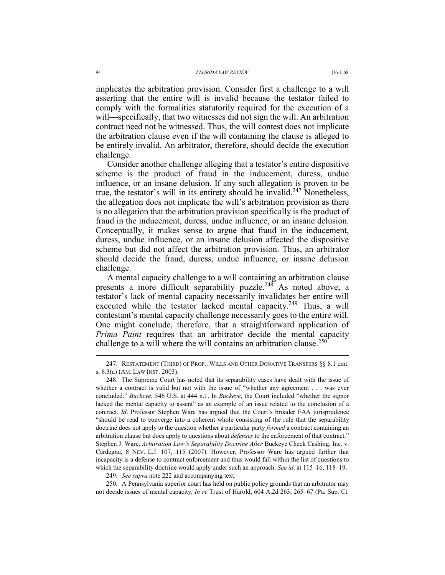implicates the arbitration provision. Consider first a challenge to a will asserting that the entire will is invalid because the testator failed to comply with the formalities statutorily required for the execution of a will—specifically, that two witnesses did not sign the will. An arbitration contract need not be witnessed. Thus, the will contest does not implicate the arbitration clause even if the will containing the clause is alleged to be entirely invalid. An arbitrator, therefore, should decide the execution challenge.

Consider another challenge alleging that a testator's entire dispositive scheme is the product of fraud in the inducement, duress, undue influence, or an insane delusion. If any such allegation is proven to be true, the testator's will in its entirety should be invalid.<sup>247</sup> Nonetheless, the allegation does not implicate the will's arbitration provision as there is no allegation that the arbitration provision specifically is the product of fraud in the inducement, duress, undue influence, or an insane delusion. Conceptually, it makes sense to argue that fraud in the inducement, duress, undue influence, or an insane delusion affected the dispositive scheme but did not affect the arbitration provision. Thus, an arbitrator should decide the fraud, duress, undue influence, or insane delusion challenge.

A mental capacity challenge to a will containing an arbitration clause presents a more difficult separability puzzle.<sup>248</sup> As noted above, a testator's lack of mental capacity necessarily invalidates her entire will executed while the testator lacked mental capacity.<sup>249</sup> Thus, a will contestant's mental capacity challenge necessarily goes to the entire will. One might conclude, therefore, that a straightforward application of *Prima Paint* requires that an arbitrator decide the mental capacity challenge to a will where the will contains an arbitration clause. $250$ 

249. *See supra* note 222 and accompanying text.

 250. A Pennsylvania superior court has held on public policy grounds that an arbitrator may not decide issues of mental capacity. *In re* Trust of Harold, 604 A.2d 263, 265–67 (Pa. Sup. Ct.

 <sup>247.</sup> RESTATEMENT (THIRD) OF PROP.: WILLS AND OTHER DONATIVE TRANSFERS §§ 8.1 cmt. s, 8.3(a) (AM. LAW INST. 2003).

 <sup>248.</sup> The Supreme Court has noted that its separability cases have dealt with the issue of whether a contract is valid but not with the issue of "whether any agreement . . . was ever concluded." *Buckeye*, 546 U.S. at 444 n.1. In *Buckeye*, the Court included "whether the signor lacked the mental capacity to assent" as an example of an issue related to the conclusion of a contract. *Id*. Professor Stephen Ware has argued that the Court's broader FAA jurisprudence "should be read to converge into a coherent whole consisting of the rule that the separability doctrine does not apply to the question whether a particular party *formed* a contract containing an arbitration clause but does apply to questions about *defenses* to the enforcement of that contract." Stephen J. Ware, *Arbitration Law's Separability Doctrine After* Buckeye Check Cashing, Inc. v. Cardegna, 8 NEV. L.J. 107, 115 (2007). However, Professor Ware has argued further that incapacity is a defense to contract enforcement and thus would fall within the list of questions to which the separability doctrine would apply under such an approach. *See id*. at 115–16, 118–19.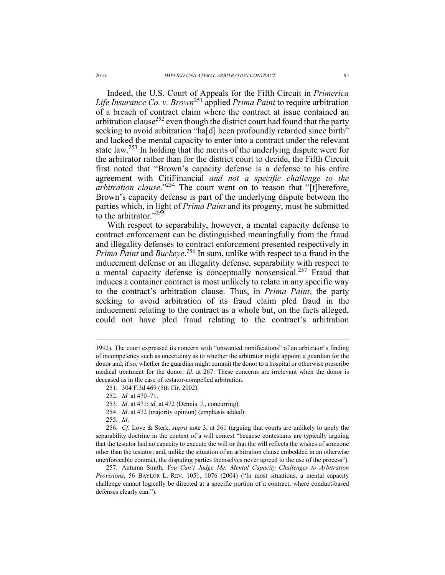Indeed, the U.S. Court of Appeals for the Fifth Circuit in *Primerica Life Insurance Co. v. Brown*251 applied *Prima Paint* to require arbitration of a breach of contract claim where the contract at issue contained an arbitration clause<sup>252</sup> even though the district court had found that the party seeking to avoid arbitration "ha[d] been profoundly retarded since birth" and lacked the mental capacity to enter into a contract under the relevant state law.<sup>253</sup> In holding that the merits of the underlying dispute were for the arbitrator rather than for the district court to decide, the Fifth Circuit first noted that "Brown's capacity defense is a defense to his entire agreement with CitiFinancial *and not a specific challenge to the arbitration clause*."254 The court went on to reason that "[t]herefore, Brown's capacity defense is part of the underlying dispute between the parties which, in light of *Prima Paint* and its progeny, must be submitted to the arbitrator."<sup>255</sup>

With respect to separability, however, a mental capacity defense to contract enforcement can be distinguished meaningfully from the fraud and illegality defenses to contract enforcement presented respectively in *Prima Paint* and *Buckeye*. 256 In sum, unlike with respect to a fraud in the inducement defense or an illegality defense, separability with respect to a mental capacity defense is conceptually nonsensical.257 Fraud that induces a container contract is most unlikely to relate in any specific way to the contract's arbitration clause. Thus, in *Prima Paint*, the party seeking to avoid arbitration of its fraud claim pled fraud in the inducement relating to the contract as a whole but, on the facts alleged, could not have pled fraud relating to the contract's arbitration

<sup>1992).</sup> The court expressed its concern with "unwanted ramifications" of an arbitrator's finding of incompetency such as uncertainty as to whether the arbitrator might appoint a guardian for the donor and, if so, whether the guardian might commit the donor to a hospital or otherwise prescribe medical treatment for the donor. *Id*. at 267. These concerns are irrelevant when the donor is deceased as in the case of testator-compelled arbitration.

 <sup>251. 304</sup> F.3d 469 (5th Cir. 2002).

 <sup>252.</sup> *Id.* at 470–71.

 <sup>253.</sup> *Id*. at 471; *id*. at 472 (Dennis, J., concurring).

 <sup>254.</sup> *Id*. at 472 (majority opinion) (emphasis added).

 <sup>255.</sup> *Id*.

 <sup>256.</sup> *Cf*. Love & Sterk, *supra* note 3, at 561 (arguing that courts are unlikely to apply the separability doctrine in the context of a will contest "because contestants are typically arguing that the testator had no capacity to execute the will or that the will reflects the wishes of someone other than the testator; and, unlike the situation of an arbitration clause embedded in an otherwise unenforceable contract, the disputing parties themselves never agreed to the use of the process").

 <sup>257.</sup> Autumn Smith, *You Can't Judge Me: Mental Capacity Challenges to Arbitration Provisions*, 56 BAYLOR L. REV. 1051, 1076 (2004) ("In most situations, a mental capacity challenge cannot logically be directed at a specific portion of a contract, where conduct-based defenses clearly can.").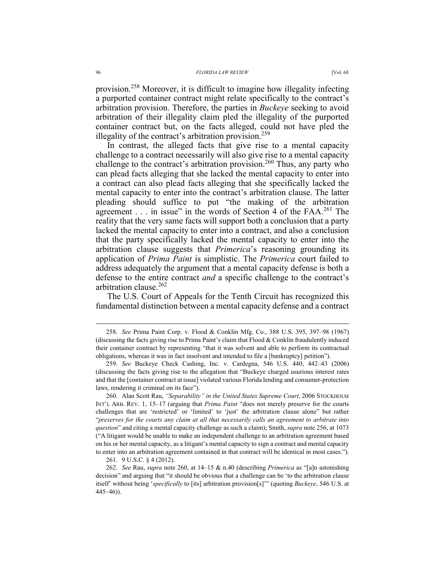provision.258 Moreover, it is difficult to imagine how illegality infecting a purported container contract might relate specifically to the contract's arbitration provision. Therefore, the parties in *Buckeye* seeking to avoid arbitration of their illegality claim pled the illegality of the purported container contract but, on the facts alleged, could not have pled the illegality of the contract's arbitration provision.<sup>259</sup>

In contrast, the alleged facts that give rise to a mental capacity challenge to a contract necessarily will also give rise to a mental capacity challenge to the contract's arbitration provision.<sup>260</sup> Thus, any party who can plead facts alleging that she lacked the mental capacity to enter into a contract can also plead facts alleging that she specifically lacked the mental capacity to enter into the contract's arbitration clause. The latter pleading should suffice to put "the making of the arbitration agreement  $\ldots$  in issue" in the words of Section 4 of the FAA.<sup>261</sup> The reality that the very same facts will support both a conclusion that a party lacked the mental capacity to enter into a contract, and also a conclusion that the party specifically lacked the mental capacity to enter into the arbitration clause suggests that *Primerica*'s reasoning grounding its application of *Prima Paint* is simplistic. The *Primerica* court failed to address adequately the argument that a mental capacity defense is both a defense to the entire contract *and* a specific challenge to the contract's arbitration clause  $262$ 

The U.S. Court of Appeals for the Tenth Circuit has recognized this fundamental distinction between a mental capacity defense and a contract

261. 9 U.S.C. § 4 (2012).

 <sup>258.</sup> *See* Prima Paint Corp. v. Flood & Conklin Mfg. Co., 388 U.S. 395, 397–98 (1967) (discussing the facts giving rise to Prima Paint's claim that  $F$ lood  $&$  Conklin fraudulently induced their container contract by representing "that it was solvent and able to perform its contractual obligations, whereas it was in fact insolvent and intended to file a [bankruptcy] petition").

 <sup>259.</sup> *See* Buckeye Check Cashing, Inc. v. Cardegna, 546 U.S. 440, 442–43 (2006) (discussing the facts giving rise to the allegation that "Buckeye charged usurious interest rates and that the [container contract at issue] violated various Florida lending and consumer-protection laws, rendering it criminal on its face").

 <sup>260.</sup> Alan Scott Rau, *"Separability" in the United States Supreme Court*, 2006 STOCKHOLM INT'L ARB. REV. 1, 15–17 (arguing that *Prima Paint* "does not merely preserve for the courts challenges that are 'restricted' or 'limited' to 'just' the arbitration clause alone" but rather "*preserves for the courts any claim at all that necessarily calls an agreement to arbitrate into question*" and citing a mental capacity challenge as such a claim); Smith, *supra* note 256, at 1073 ("A litigant would be unable to make an independent challenge to an arbitration agreement based on his or her mental capacity, as a litigant's mental capacity to sign a contract and mental capacity to enter into an arbitration agreement contained in that contract will be identical in most cases.").

 <sup>262.</sup> *See* Rau, *supra* note 260, at 14–15 & n.40 (describing *Primerica* as "[a]n astonishing decision" and arguing that "it should be obvious that a challenge can be 'to the arbitration clause itself' without being '*specifically* to [its] arbitration provision[s]'" (quoting *Buckeye*, 546 U.S. at 445–46)).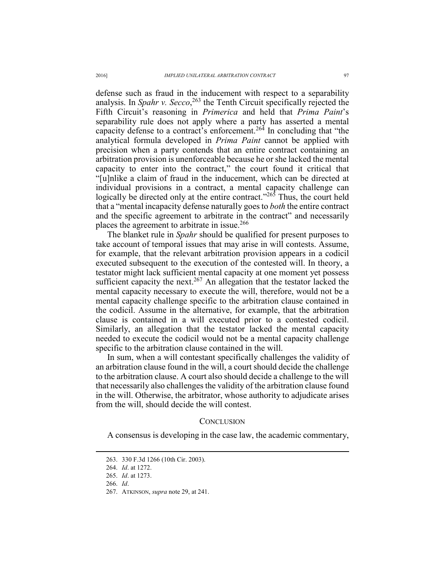defense such as fraud in the inducement with respect to a separability analysis. In *Spahr v. Secco*, 263 the Tenth Circuit specifically rejected the Fifth Circuit's reasoning in *Primerica* and held that *Prima Paint*'s separability rule does not apply where a party has asserted a mental capacity defense to a contract's enforcement.264 In concluding that "the analytical formula developed in *Prima Paint* cannot be applied with precision when a party contends that an entire contract containing an arbitration provision is unenforceable because he or she lacked the mental capacity to enter into the contract," the court found it critical that "[u]nlike a claim of fraud in the inducement, which can be directed at individual provisions in a contract, a mental capacity challenge can logically be directed only at the entire contract."<sup>265</sup> Thus, the court held that a "mental incapacity defense naturally goes to *both* the entire contract and the specific agreement to arbitrate in the contract" and necessarily places the agreement to arbitrate in issue.<sup>266</sup>

The blanket rule in *Spahr* should be qualified for present purposes to take account of temporal issues that may arise in will contests. Assume, for example, that the relevant arbitration provision appears in a codicil executed subsequent to the execution of the contested will. In theory, a testator might lack sufficient mental capacity at one moment yet possess sufficient capacity the next.<sup>267</sup> An allegation that the testator lacked the mental capacity necessary to execute the will, therefore, would not be a mental capacity challenge specific to the arbitration clause contained in the codicil. Assume in the alternative, for example, that the arbitration clause is contained in a will executed prior to a contested codicil. Similarly, an allegation that the testator lacked the mental capacity needed to execute the codicil would not be a mental capacity challenge specific to the arbitration clause contained in the will.

In sum, when a will contestant specifically challenges the validity of an arbitration clause found in the will, a court should decide the challenge to the arbitration clause. A court also should decide a challenge to the will that necessarily also challenges the validity of the arbitration clause found in the will. Otherwise, the arbitrator, whose authority to adjudicate arises from the will, should decide the will contest.

#### **CONCLUSION**

A consensus is developing in the case law, the academic commentary,

266. *Id*.

 <sup>263. 330</sup> F.3d 1266 (10th Cir. 2003).

 <sup>264.</sup> *Id*. at 1272.

 <sup>265.</sup> *Id*. at 1273.

 <sup>267.</sup> ATKINSON, *supra* note 29, at 241.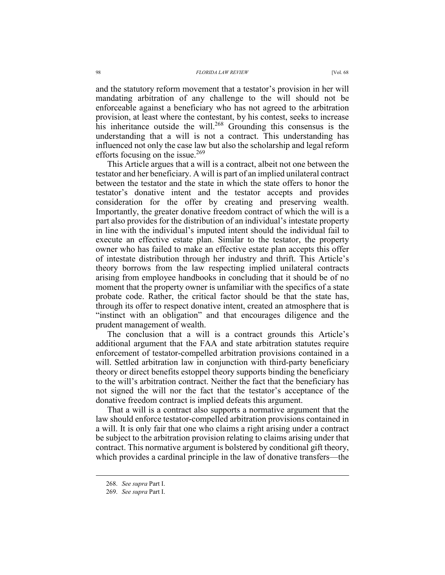and the statutory reform movement that a testator's provision in her will mandating arbitration of any challenge to the will should not be enforceable against a beneficiary who has not agreed to the arbitration provision, at least where the contestant, by his contest, seeks to increase his inheritance outside the will.<sup>268</sup> Grounding this consensus is the understanding that a will is not a contract. This understanding has influenced not only the case law but also the scholarship and legal reform efforts focusing on the issue.<sup>269</sup>

This Article argues that a will is a contract, albeit not one between the testator and her beneficiary. A will is part of an implied unilateral contract between the testator and the state in which the state offers to honor the testator's donative intent and the testator accepts and provides consideration for the offer by creating and preserving wealth. Importantly, the greater donative freedom contract of which the will is a part also provides for the distribution of an individual's intestate property in line with the individual's imputed intent should the individual fail to execute an effective estate plan. Similar to the testator, the property owner who has failed to make an effective estate plan accepts this offer of intestate distribution through her industry and thrift. This Article's theory borrows from the law respecting implied unilateral contracts arising from employee handbooks in concluding that it should be of no moment that the property owner is unfamiliar with the specifics of a state probate code. Rather, the critical factor should be that the state has, through its offer to respect donative intent, created an atmosphere that is "instinct with an obligation" and that encourages diligence and the prudent management of wealth.

The conclusion that a will is a contract grounds this Article's additional argument that the FAA and state arbitration statutes require enforcement of testator-compelled arbitration provisions contained in a will. Settled arbitration law in conjunction with third-party beneficiary theory or direct benefits estoppel theory supports binding the beneficiary to the will's arbitration contract. Neither the fact that the beneficiary has not signed the will nor the fact that the testator's acceptance of the donative freedom contract is implied defeats this argument.

That a will is a contract also supports a normative argument that the law should enforce testator-compelled arbitration provisions contained in a will. It is only fair that one who claims a right arising under a contract be subject to the arbitration provision relating to claims arising under that contract. This normative argument is bolstered by conditional gift theory, which provides a cardinal principle in the law of donative transfers—the

 <sup>268.</sup> *See supra* Part I.

 <sup>269.</sup> *See supra* Part I.